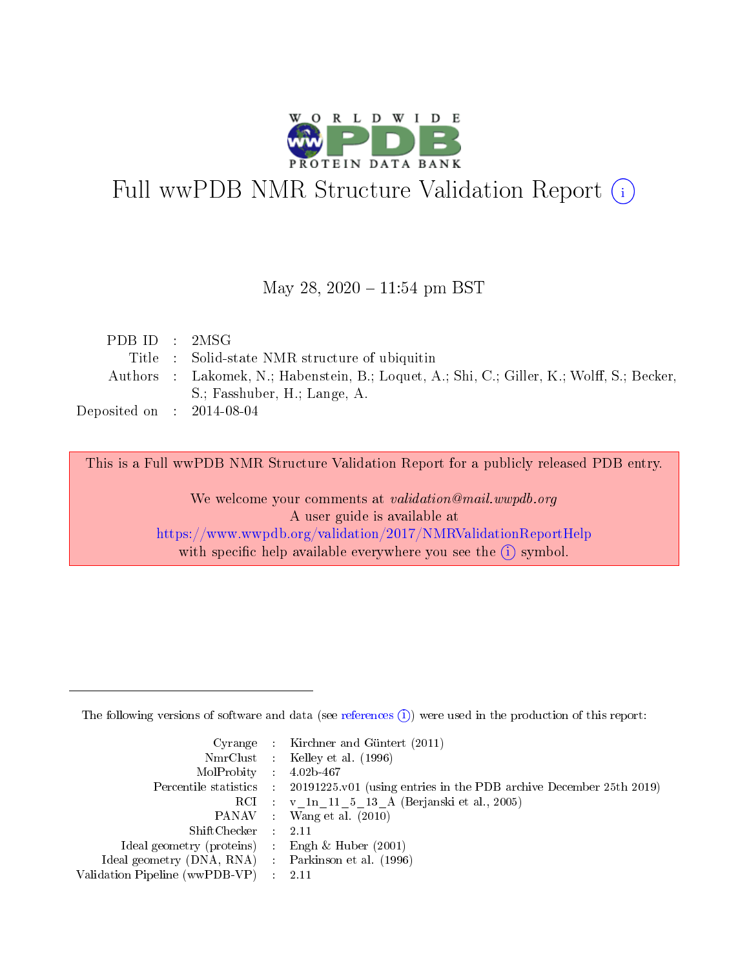

# Full wwPDB NMR Structure Validation Report (i)

### May 28,  $2020 - 11:54$  pm BST

| PDB ID : $2MSG$                      |                                                                                            |
|--------------------------------------|--------------------------------------------------------------------------------------------|
|                                      | Title : Solid-state NMR structure of ubiquitin                                             |
|                                      | Authors : Lakomek, N.; Habenstein, B.; Loquet, A.; Shi, C.; Giller, K.; Wolff, S.; Becker, |
|                                      | S.: Fasshuber, H.: Lange, A.                                                               |
| Deposited on $\therefore$ 2014-08-04 |                                                                                            |

This is a Full wwPDB NMR Structure Validation Report for a publicly released PDB entry.

We welcome your comments at validation@mail.wwpdb.org A user guide is available at <https://www.wwpdb.org/validation/2017/NMRValidationReportHelp> with specific help available everywhere you see the  $(i)$  symbol.

The following versions of software and data (see [references](https://www.wwpdb.org/validation/2017/NMRValidationReportHelp#references)  $(1)$ ) were used in the production of this report:

|                                                    |                          | Cyrange : Kirchner and Güntert $(2011)$                                |
|----------------------------------------------------|--------------------------|------------------------------------------------------------------------|
|                                                    |                          | NmrClust : Kelley et al. (1996)                                        |
| $MolProbability$ 4.02b-467                         |                          |                                                                        |
| Percentile statistics :                            |                          | $20191225$ , v01 (using entries in the PDB archive December 25th 2019) |
|                                                    |                          | RCI : v 1n 11 5 13 A (Berjanski et al., 2005)                          |
|                                                    |                          | PANAV : Wang et al. (2010)                                             |
| $ShiftChecker$ :                                   |                          | -2.11                                                                  |
| Ideal geometry (proteins) : Engh $\&$ Huber (2001) |                          |                                                                        |
| Ideal geometry (DNA, RNA) Parkinson et al. (1996)  |                          |                                                                        |
| Validation Pipeline (wwPDB-VP)                     | $\mathcal{L}_{\rm{max}}$ | - 2.11                                                                 |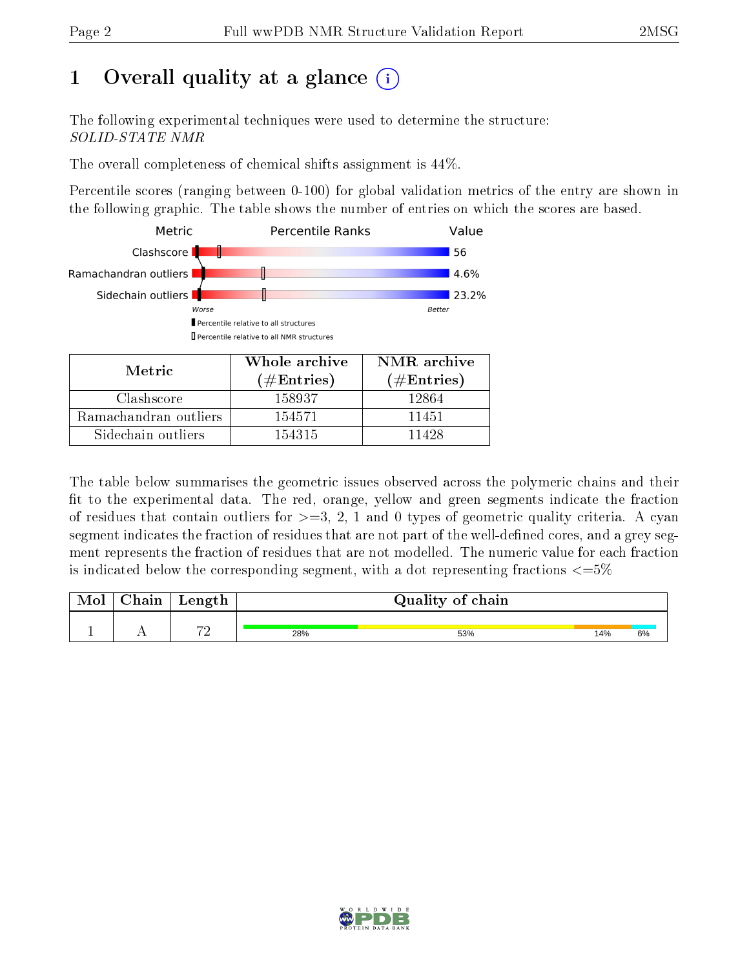# 1 [O](https://www.wwpdb.org/validation/2017/NMRValidationReportHelp#overall_quality)verall quality at a glance  $(i)$

The following experimental techniques were used to determine the structure: SOLID-STATE NMR

The overall completeness of chemical shifts assignment is 44%.

Percentile scores (ranging between 0-100) for global validation metrics of the entry are shown in the following graphic. The table shows the number of entries on which the scores are based.



| Metric                | <u>oo nong alema</u><br>(# ${\rm Entries}$ ) | $\pm$ 1.000 to 0.000 to 0.000 to 0.000 to 0.000 to 0.000 to 0.000 to 0.000 to 0.000 to 0.000 to 0.000 to 0.000 to 0.000 to 0.000 to 0.000 to 0.000 to 0.000 to 0.000 to 0.000 to 0.000 to 0.000 to 0.000 to 0.000 to 0.000 to<br>$(\#\text{Entries})$ |  |
|-----------------------|----------------------------------------------|-------------------------------------------------------------------------------------------------------------------------------------------------------------------------------------------------------------------------------------------------------|--|
| Clashscore            | 158937                                       | 12864                                                                                                                                                                                                                                                 |  |
| Ramachandran outliers | 154571                                       | 11451                                                                                                                                                                                                                                                 |  |
| Sidechain outliers    | 154315                                       | 11428                                                                                                                                                                                                                                                 |  |

The table below summarises the geometric issues observed across the polymeric chains and their fit to the experimental data. The red, orange, yellow and green segments indicate the fraction of residues that contain outliers for  $>=3, 2, 1$  and 0 types of geometric quality criteria. A cyan segment indicates the fraction of residues that are not part of the well-defined cores, and a grey segment represents the fraction of residues that are not modelled. The numeric value for each fraction is indicated below the corresponding segment, with a dot representing fractions  $\epsilon = 5\%$ 

| <b>NIOI</b> | ${\rm Chain}$ | Length         | Quality of chain |     |     |    |
|-------------|---------------|----------------|------------------|-----|-----|----|
|             |               | $\overline{m}$ |                  |     |     |    |
|             |               |                | 28%              | 53% | 14% | 6% |

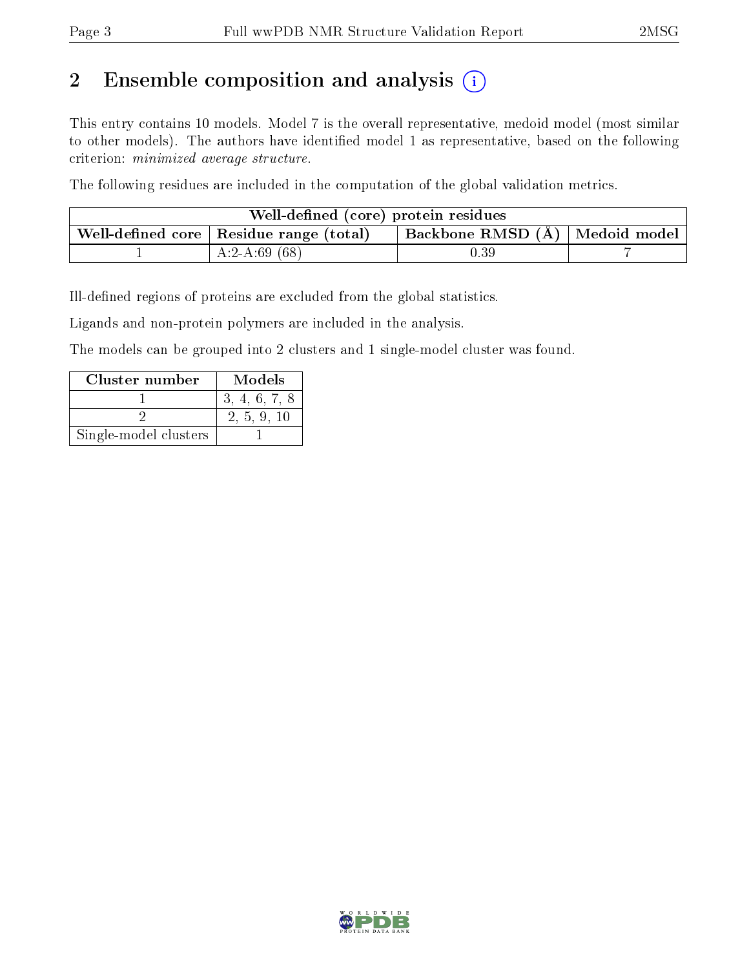# 2 Ensemble composition and analysis  $(i)$

This entry contains 10 models. Model 7 is the overall representative, medoid model (most similar to other models). The authors have identified model 1 as representative, based on the following criterion: minimized average structure.

The following residues are included in the computation of the global validation metrics.

| Well-defined (core) protein residues |                                                         |                                    |  |  |  |  |
|--------------------------------------|---------------------------------------------------------|------------------------------------|--|--|--|--|
|                                      | . Well-defined core $\mid$ Residue range (total) $\mid$ | Backbone RMSD $(A)$   Medoid model |  |  |  |  |
|                                      | A:2-A:69 $(68)$                                         | $0.39\,$                           |  |  |  |  |

Ill-defined regions of proteins are excluded from the global statistics.

Ligands and non-protein polymers are included in the analysis.

The models can be grouped into 2 clusters and 1 single-model cluster was found.

| Cluster number        | Models        |
|-----------------------|---------------|
|                       | 3, 4, 6, 7, 8 |
|                       | 2, 5, 9, 10   |
| Single-model clusters |               |

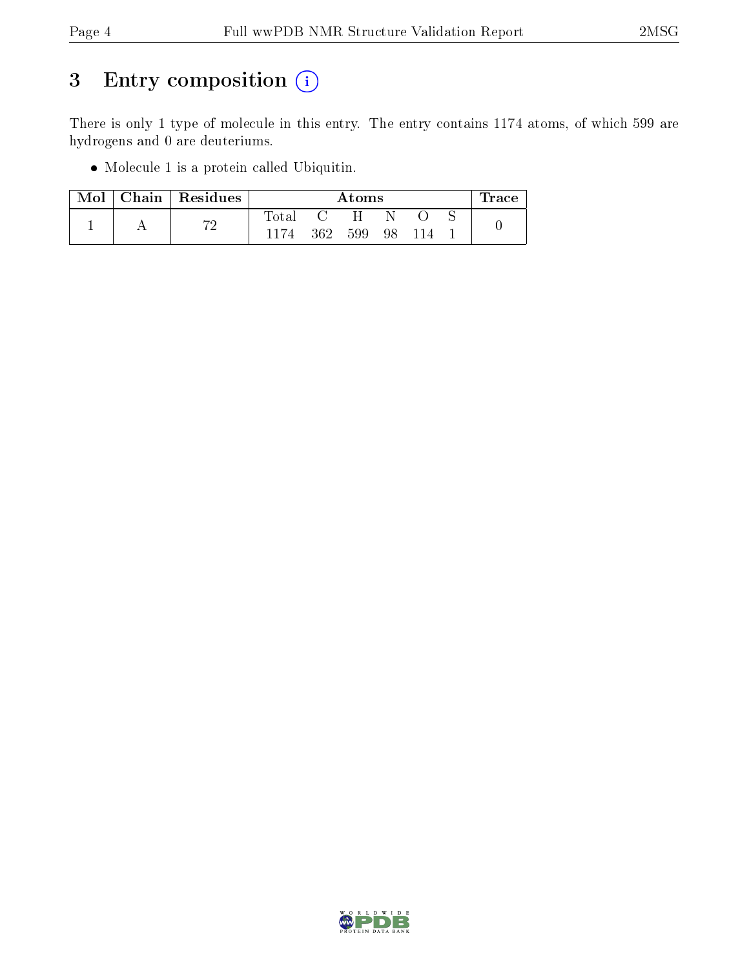# 3 Entry composition (i)

There is only 1 type of molecule in this entry. The entry contains 1174 atoms, of which 599 are hydrogens and 0 are deuteriums.

Molecule 1 is a protein called Ubiquitin.

| Mol |  | Chain   Residues | Atoms          |     |    |  | race |  |
|-----|--|------------------|----------------|-----|----|--|------|--|
|     |  | הי               | $_{\rm Total}$ |     | H. |  |      |  |
|     |  |                  | 362            | 599 | 98 |  |      |  |

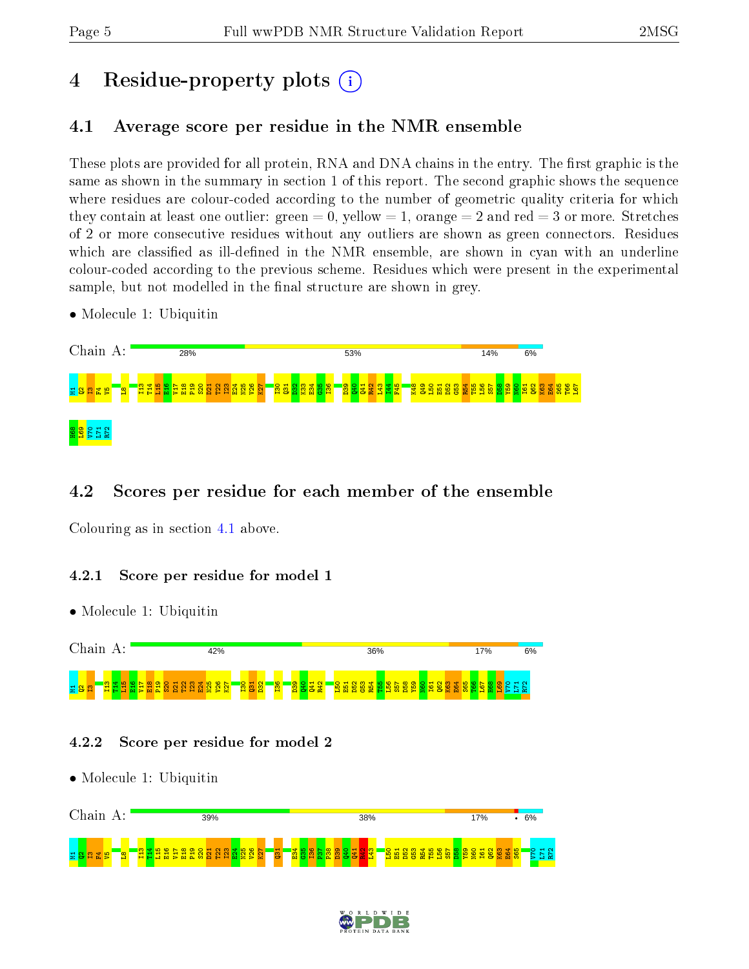# 4 Residue-property plots  $\binom{1}{1}$

# <span id="page-4-0"></span>4.1 Average score per residue in the NMR ensemble

These plots are provided for all protein, RNA and DNA chains in the entry. The first graphic is the same as shown in the summary in section 1 of this report. The second graphic shows the sequence where residues are colour-coded according to the number of geometric quality criteria for which they contain at least one outlier: green  $= 0$ , yellow  $= 1$ , orange  $= 2$  and red  $= 3$  or more. Stretches of 2 or more consecutive residues without any outliers are shown as green connectors. Residues which are classified as ill-defined in the NMR ensemble, are shown in cyan with an underline colour-coded according to the previous scheme. Residues which were present in the experimental sample, but not modelled in the final structure are shown in grey.

• Molecule 1: Ubiquitin



## 4.2 Scores per residue for each member of the ensemble

Colouring as in section [4.1](#page-4-0) above.

### 4.2.1 Score per residue for model 1

• Molecule 1: Ubiquitin



### 4.2.2 Score per residue for model 2

• Molecule 1: Ubiquitin



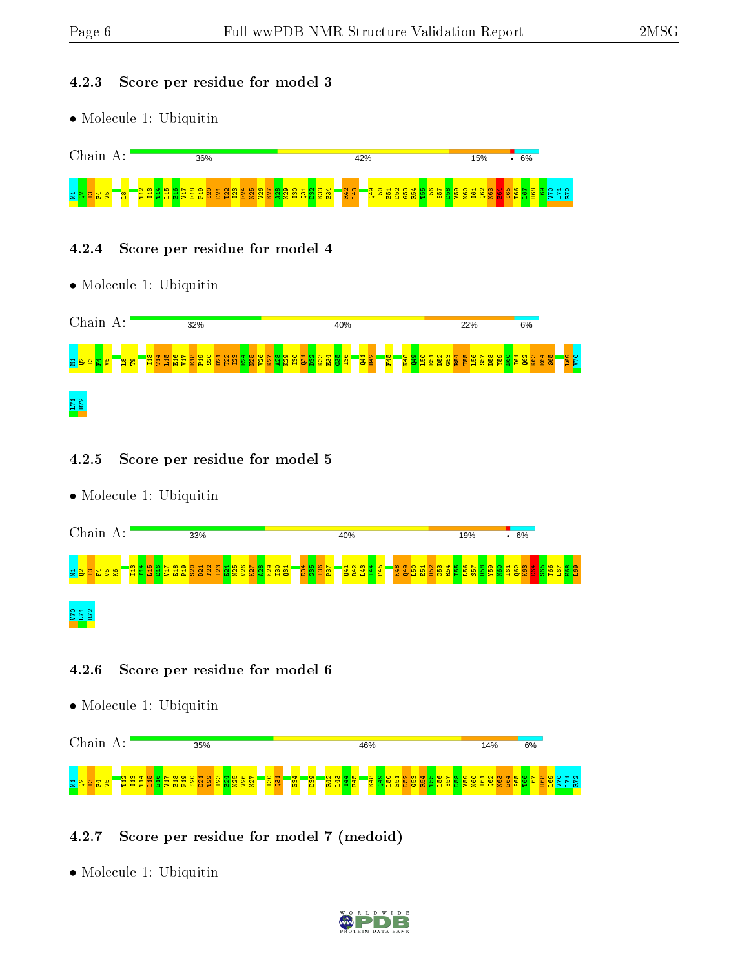### 4.2.3 Score per residue for model 3

• Molecule 1: Ubiquitin



### 4.2.4 Score per residue for model 4

• Molecule 1: Ubiquitin



### 4.2.5 Score per residue for model 5

• Molecule 1: Ubiquitin



## 4.2.6 Score per residue for model 6

• Molecule 1: Ubiquitin



## 4.2.7 Score per residue for model 7 (medoid)

• Molecule 1: Ubiquitin

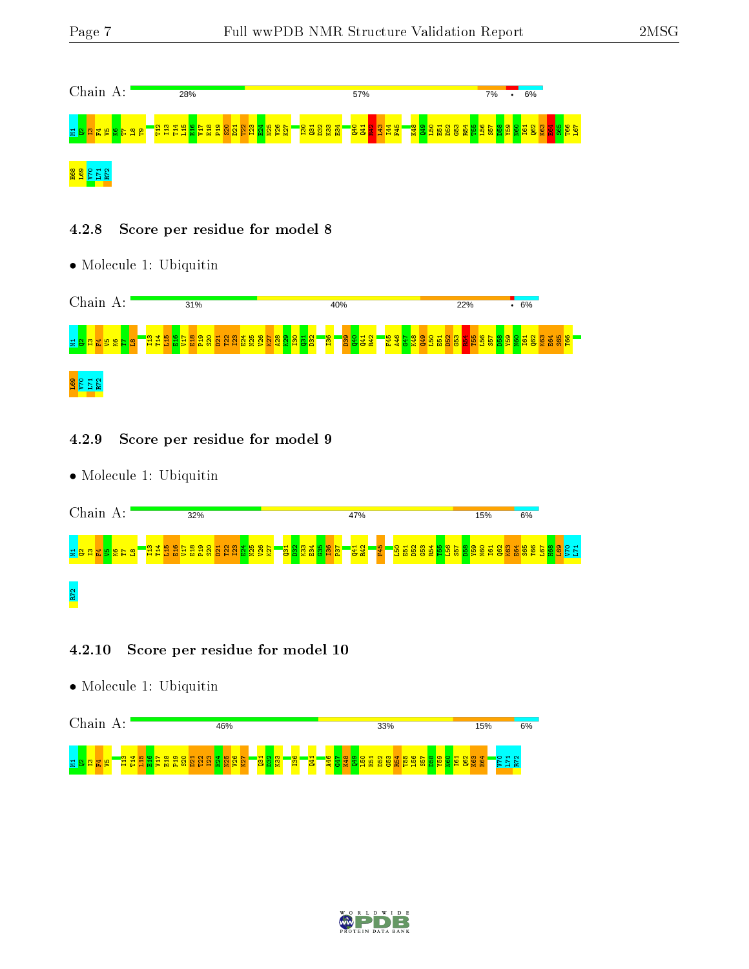

### 4.2.8 Score per residue for model 8

• Molecule 1: Ubiquitin



### 4.2.9 Score per residue for model 9

• Molecule 1: Ubiquitin



### 4.2.10 Score per residue for model 10

• Molecule 1: Ubiquitin



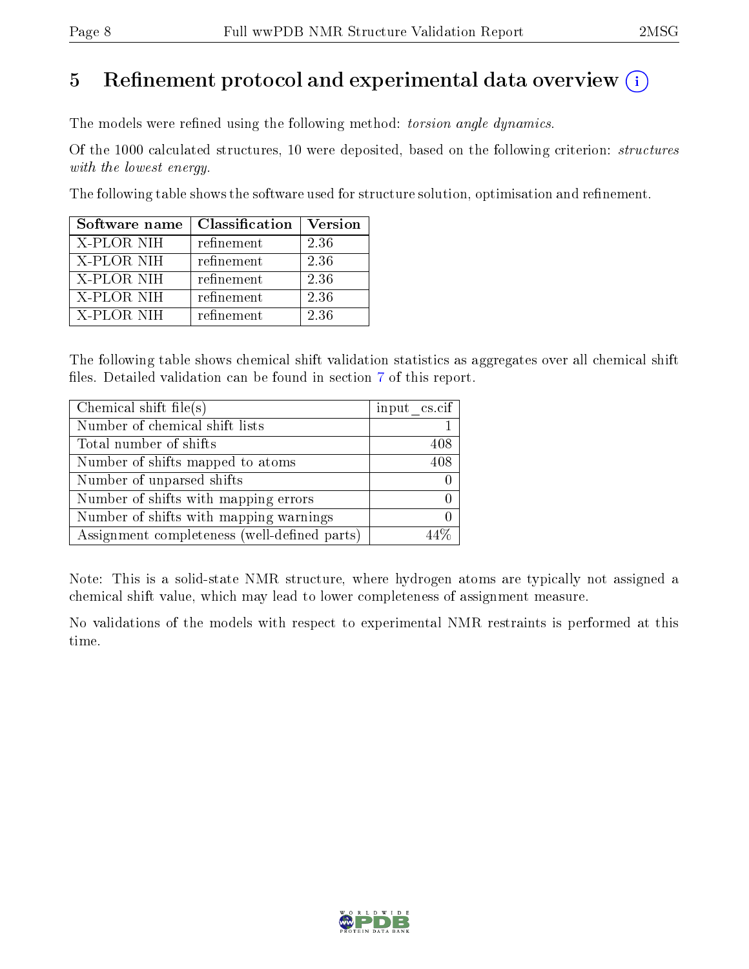# 5 Refinement protocol and experimental data overview  $\binom{1}{k}$

The models were refined using the following method: torsion angle dynamics.

Of the 1000 calculated structures, 10 were deposited, based on the following criterion: structures with the lowest energy.

The following table shows the software used for structure solution, optimisation and refinement.

| Software name | Classification | <b>Version</b> |
|---------------|----------------|----------------|
| X-PLOR NIH    | refinement     | 2.36           |
| X-PLOR NIH    | refinement     | 2.36           |
| X-PLOR NIH    | refinement     | 2.36           |
| X-PLOR NIH    | refinement     | 2.36           |
| X-PLOR NIH    | refinement     | 2.36           |

The following table shows chemical shift validation statistics as aggregates over all chemical shift files. Detailed validation can be found in section [7](#page-18-0) of this report.

| Chemical shift file(s)                       | $input\_cs.cif$ |
|----------------------------------------------|-----------------|
| Number of chemical shift lists               |                 |
| Total number of shifts                       | 408             |
| Number of shifts mapped to atoms             | 408             |
| Number of unparsed shifts                    |                 |
| Number of shifts with mapping errors         |                 |
| Number of shifts with mapping warnings       |                 |
| Assignment completeness (well-defined parts) |                 |

Note: This is a solid-state NMR structure, where hydrogen atoms are typically not assigned a chemical shift value, which may lead to lower completeness of assignment measure.

No validations of the models with respect to experimental NMR restraints is performed at this time.

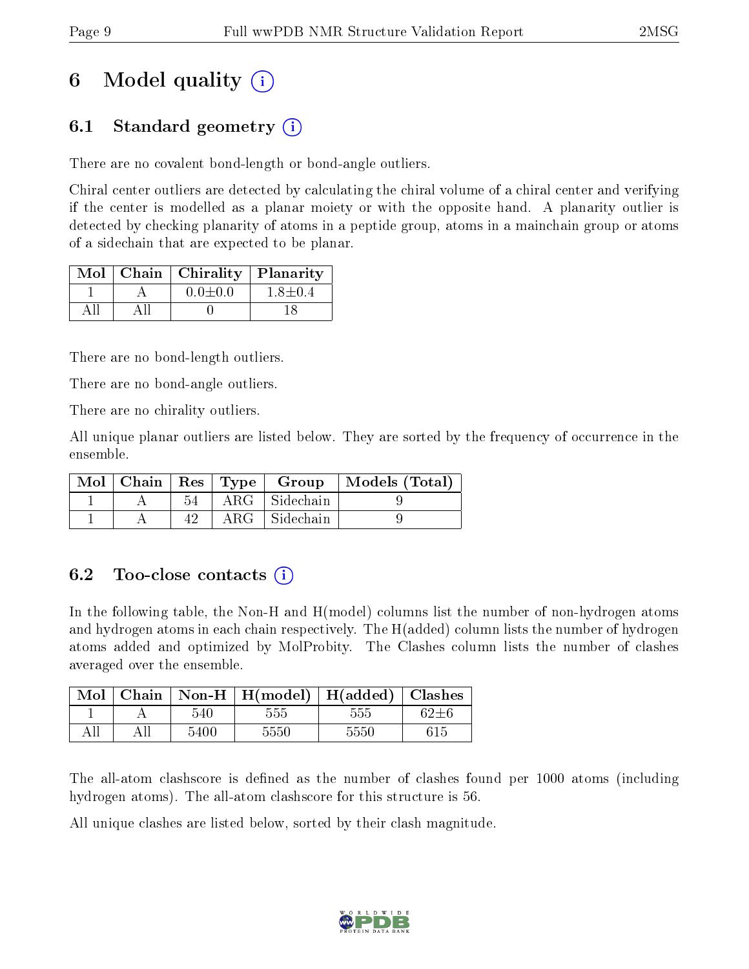# 6 Model quality  $\binom{1}{1}$

# 6.1 Standard geometry (i)

There are no covalent bond-length or bond-angle outliers.

Chiral center outliers are detected by calculating the chiral volume of a chiral center and verifying if the center is modelled as a planar moiety or with the opposite hand. A planarity outlier is detected by checking planarity of atoms in a peptide group, atoms in a mainchain group or atoms of a sidechain that are expected to be planar.

|  | $Mol$   Chain   Chirality | Planarity     |
|--|---------------------------|---------------|
|  | $0.0 \pm 0.0$             | $1.8 \pm 0.4$ |
|  |                           |               |

There are no bond-length outliers.

There are no bond-angle outliers.

There are no chirality outliers.

All unique planar outliers are listed below. They are sorted by the frequency of occurrence in the ensemble.

|  |    |                      | Mol   Chain   Res   Type   Group   Models (Total) |
|--|----|----------------------|---------------------------------------------------|
|  | 54 | ARG Sidechain        |                                                   |
|  | 42 | $ARG \mid Sidechain$ |                                                   |

## 6.2 Too-close contacts (i)

In the following table, the Non-H and H(model) columns list the number of non-hydrogen atoms and hydrogen atoms in each chain respectively. The H(added) column lists the number of hydrogen atoms added and optimized by MolProbity. The Clashes column lists the number of clashes averaged over the ensemble.

| Mol | Chain |      | Non-H   $H(model)$   $H(added)$ |      | Clashes |
|-----|-------|------|---------------------------------|------|---------|
|     |       | 540  | 555                             | 555  |         |
|     |       | 5400 | 5550                            | 5550 |         |

The all-atom clashscore is defined as the number of clashes found per 1000 atoms (including hydrogen atoms). The all-atom clashscore for this structure is 56.

All unique clashes are listed below, sorted by their clash magnitude.

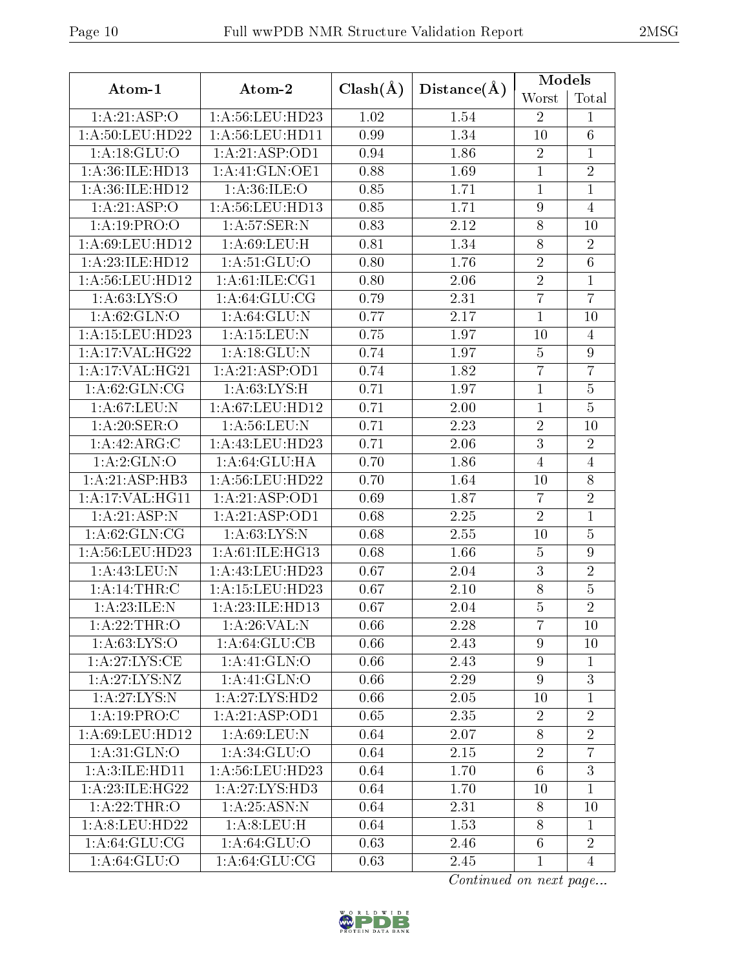|                                      |                    |              |             | Models           |                  |  |
|--------------------------------------|--------------------|--------------|-------------|------------------|------------------|--|
| Atom-1                               | Atom-2             | $Clash(\AA)$ | Distance(A) | Worst            | Total            |  |
| 1:A:21:ASP:O                         | 1: A:56: LEU: HD23 | 1.02         | 1.54        | $\overline{2}$   | 1                |  |
| 1: A:50:LEU:HD22                     | 1: A:56:LEU:HD11   | 0.99         | 1.34        | 10               | 6                |  |
| 1: A: 18: GLU: O                     | 1:A:21:ASP:OD1     | 0.94         | 1.86        | $\sqrt{2}$       | 1                |  |
| 1: A:36: ILE: HD13<br>1:A:41:GLN:OE1 |                    | 0.88         | 1.69        | $\mathbf{1}$     | $\overline{2}$   |  |
| 1:A:36:ILE:HD12                      | 1: A:36: ILE: O    |              | 1.71        | $\overline{1}$   | $\mathbf{1}$     |  |
| 1:A:21:ASP:O                         | 1: A:56: LEU: HD13 | 0.85         | 1.71        | $\overline{9}$   | $\overline{4}$   |  |
| 1:A:19:PRO:O                         | 1:A:57:SER:N       | 0.83         | 2.12        | $8\,$            | 10               |  |
| 1:A:69:LEU:HD12                      | 1: A:69: LEU:H     | 0.81         | 1.34        | $\overline{8}$   | $\overline{2}$   |  |
| 1:A:23:ILE:HD12                      | 1:A:51:GLU:O       | 0.80         | 1.76        | $\overline{2}$   | $\overline{6}$   |  |
| 1:A:56:LEU:HD12                      | 1: A:61: ILE: CG1  | 0.80         | 2.06        | $\overline{2}$   | $\overline{1}$   |  |
| 1: A:63: LYS:O                       | 1: A:64: GLU:CG    | 0.79         | 2.31        | $\overline{7}$   | $\overline{7}$   |  |
| 1: A:62: GLN:O                       | 1: A:64: GLU: N    | 0.77         | 2.17        | $\mathbf{1}$     | 10               |  |
| 1: A:15:LEU:HD23                     | $1:$ A:15:LEU:N    | 0.75         | 1.97        | 10               | $\overline{4}$   |  |
| 1:A:17:VAL:HG22                      | 1: A:18: GLU:N     | 0.74         | 1.97        | $\bf 5$          | 9                |  |
| 1: A:17: VAL:HG21                    | 1:A:21:ASP:OD1     | 0.74         | 1.82        | $\overline{7}$   | $\overline{7}$   |  |
| 1: A:62: GLN:CG                      | $1:$ A:63:LYS:H    | 0.71         | 1.97        | $\mathbf{1}$     | $\bf 5$          |  |
| 1: A:67:LEU: N                       | 1: A:67:LEU:HD12   | 0.71         | 2.00        | $\mathbf 1$      | $\overline{5}$   |  |
| 1:A:20:SER:O                         | $1:$ A:56:LEU:N    | 0.71         | 2.23        | $\overline{2}$   | 10               |  |
| 1:A:42:ARG:C<br>1: A: 43: LEU: HD23  |                    | 0.71         | 2.06        | $\overline{3}$   | $\overline{2}$   |  |
| 1:A:2:GLN:O<br>1: A:64: GLU: HA      |                    | 0.70         | 1.86        | $\overline{4}$   | $\overline{4}$   |  |
| 1: A:21: ASP:HB3                     | 1: A:56:LEU:HD22   | 0.70         | 1.64        | 10               | 8                |  |
| 1: A:17: VAL:HGI1                    | 1:A:21:ASP:OD1     | 0.69         | 1.87        | $\overline{7}$   | $\overline{2}$   |  |
| 1:A:21:ASP:N                         | 1:A:21:ASP:OD1     | 0.68         | 2.25        | $\overline{2}$   | $\mathbf{1}$     |  |
| 1: A:62: GLN:CG                      | 1: A:63:LYS:N      | 0.68         | 2.55        | 10               | $\overline{5}$   |  |
| 1: A:56: LEU:HD23                    | 1: A:61: ILE: HG13 | 0.68         | 1.66        | $\overline{5}$   | $\boldsymbol{9}$ |  |
| 1:A:43:LEU:N                         | 1:A:43:LEU:HD23    | 0.67         | 2.04        | $\overline{3}$   | $\overline{2}$   |  |
| 1: A:14:THR:C                        | 1:A:15:LEU:HD23    | 0.67         | 2.10        | $\overline{8}$   | $\overline{5}$   |  |
| 1:A:23:ILE:N                         | 1: A:23: ILE: HD13 | 0.67         | 2.04        | $\overline{5}$   | $\overline{2}$   |  |
| 1: A:22:THR:O                        | 1: A:26: VAL: N    | 0.66         | 2.28        | $\overline{7}$   | 10               |  |
| 1: A:63:LYS:O                        | 1: A:64: GLU:CB    | 0.66         | 2.43        | $\overline{9}$   | 10               |  |
| 1: A:27: LYS:CE                      | 1:A:41:GLN:O       | 0.66         | 2.43        | $\overline{9}$   | 1                |  |
| 1: A:27: LYS: NZ                     | 1:A:41:GLN:O       | 0.66         | 2.29        | $\boldsymbol{9}$ | $\overline{3}$   |  |
| 1: A:27: LYS:N                       | 1: A:27: LYS: HD2  | 0.66         | 2.05        | 10               | $\mathbf{1}$     |  |
| 1:A:19:PRO:C                         | 1:A:21:ASP:OD1     | 0.65         | 2.35        | $\overline{2}$   | $\overline{2}$   |  |
| 1:A:69:LEU:HD12                      | 1:A:69:LEU:N       | 0.64         | 2.07        | 8                | $\overline{2}$   |  |
| 1: A:31: GLN:O                       | 1: A:34: GLU:O     | 0.64         | 2.15        | $\overline{2}$   | $\overline{7}$   |  |
| 1: A:3: ILE: HDI1                    | 1: A:56:LEU:HD23   | 0.64         | 1.70        | $6\phantom{.}6$  | $\overline{3}$   |  |
| 1: A:23: ILE: HG22                   | 1:A:27:LYS:HD3     | 0.64         | 1.70        | 10               | $\mathbf{1}$     |  |
| 1: A:22:THR:O                        | 1: A:25: ASN:N     | 0.64         | 2.31        | 8                | 10               |  |
| 1: A:8: LEU: HD22                    | 1:A:8:LEU:H        | 0.64         | 1.53        | 8                | $\mathbf{1}$     |  |
| 1: A:64: GLU:CG                      | 1: A:64: GLU:O     | 0.63         | 2.46        | $6\phantom{.}6$  | $\overline{2}$   |  |
| 1: A:64: GLU:O                       | 1: A:64: GLU:CG    | 0.63         | 2.45        | $\mathbf{1}$     | $\overline{4}$   |  |

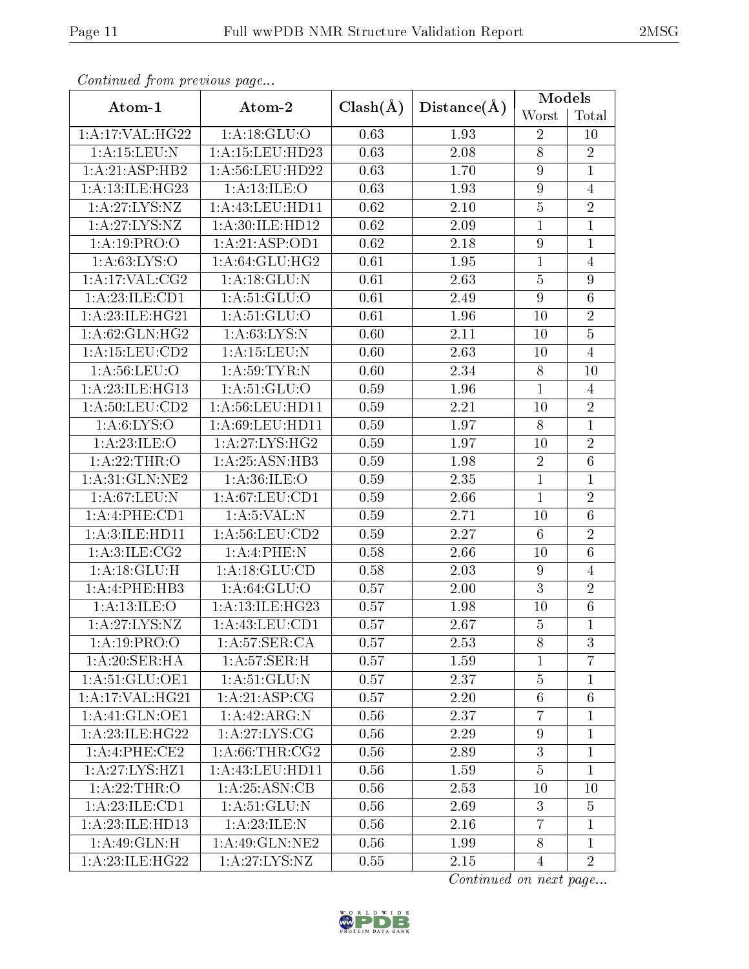| M. |  |
|----|--|
|----|--|

| Continued from previous page        |                     |              |                   | Models           |                 |  |
|-------------------------------------|---------------------|--------------|-------------------|------------------|-----------------|--|
| Atom-1                              | Atom-2              | $Clash(\AA)$ | Distance(A)       | Worst            | Total           |  |
| 1:A:17:VAL:HG22                     | 1: A:18: GLU:O      | 0.63         | 1.93              | $\overline{2}$   | 10              |  |
| 1:A:15:LEU:N                        | 1:A:15:LEU:HD23     |              | 2.08              | 8                | $\overline{2}$  |  |
| 1:A:21:ASP:HB2                      | 1: A:56: LEU: HD22  |              | 1.70              | 9                | $\mathbf{1}$    |  |
| 1:A:13:ILE:HG23                     | 1: A:13: ILE: O     | 0.63         | 1.93              | $\boldsymbol{9}$ | $\overline{4}$  |  |
| 1:A:27:LYS:NZ                       | 1: A: 43: LEU: HD11 | 0.62         | 2.10              | $\overline{5}$   | $\overline{2}$  |  |
| 1:A:27:LYS:NZ                       | 1:A:30:ILE:HD12     | 0.62         | 2.09              | $\overline{1}$   | $\mathbf{1}$    |  |
| 1:A:19:PRO:O                        | 1:A:21:ASP:OD1      | 0.62         | 2.18              | $\boldsymbol{9}$ | $\mathbf{1}$    |  |
| 1: A:63: LYS:O                      | 1: A:64: GLU:HG2    | 0.61         | 1.95              | $\mathbf{1}$     | $\overline{4}$  |  |
| 1:A:17:VAL:CG2                      | 1: A:18: GLU:N      | 0.61         | 2.63              | $\bf 5$          | 9               |  |
| 1:A:23:ILE:CD1                      | 1: A:51: GLU:O      | 0.61         | 2.49              | $9\phantom{.}$   | 6               |  |
| 1:A:23:ILE:HG21                     | 1: A:51: GLU:O      | 0.61         | 1.96              | 10               | $\overline{2}$  |  |
| 1:A:62:GLN:HG2                      | 1: A:63: LYS:N      | 0.60         | 2.11              | 10               | $\overline{5}$  |  |
| 1:A:15:LEU:CD2                      | 1: A:15:LEU:N       | 0.60         | 2.63              | 10               | $\overline{4}$  |  |
| 1: A:56:LEU:O                       | 1: A:59:TYR:N       | 0.60         | 2.34              | 8                | 10              |  |
| 1: A:23: ILE: HG13                  | 1: A:51: GLU:O      | 0.59         | 1.96              | $\mathbf{1}$     | $\overline{4}$  |  |
| 1: A:50: LEU:CD2                    | 1: A:56: LEU: HD11  | 0.59         | 2.21              | 10               | $\overline{2}$  |  |
| 1: A:6: LYS:O<br>1: A:69: LEU: HD11 |                     | 0.59         | 1.97              | 8                | $\mathbf{1}$    |  |
| 1:A:23:ILE:O<br>1: A:27: LYS: HG2   |                     | 0.59         | 1.97              | 10               | $\overline{2}$  |  |
| 1:A:25:ASN:HB3<br>1: A:22:THR:O     |                     | 0.59         | 1.98              | $\overline{2}$   | $\overline{6}$  |  |
| 1:A:31:GLN:NE2                      | 1: A:36: ILE: O     | 0.59         | 2.35              | $\mathbf{1}$     | $\mathbf{1}$    |  |
| 1: A:67:LEU: N<br>1: A:67:LEU:CD1   |                     | 0.59         | 2.66              | $\overline{1}$   | $\overline{2}$  |  |
| 1:A:4:PHE:CD1                       | 1: A: 5: VAL: N     | 0.59         | 2.71              | 10               | $6\phantom{.}6$ |  |
| 1:A:56:LEU:CD2<br>1:A:3:ILE:HD11    |                     | 0.59         | $\overline{2.27}$ | $6\phantom{.}6$  | $\overline{2}$  |  |
| 1: A:3: ILE: CG2                    | 1:A:4:PHE:N         | 0.58         | 2.66              | 10               | $\overline{6}$  |  |
| 1: A:18: GLU:H                      | 1:A:18:GLU:CD       | 0.58         | 2.03              | 9                | $\overline{4}$  |  |
| 1:A:4:PHE:HB3                       | 1: A:64: GLU:O      | 0.57         | 2.00              | 3                | $\overline{2}$  |  |
| 1:A:13:ILE:O                        | 1:A:13:ILE:HG23     | 0.57         | 1.98              | 10               | $6\phantom{.}6$ |  |
| 1: A:27:LYS:NZ                      | 1:A:43:LEU:CD1      | 0.57         | 2.67              | $\bf 5$          | $\mathbf{1}$    |  |
| 1:A:19:PRO:O                        | 1: A:57:SER:CA      | 0.57         | 2.53              | 8                | 3               |  |
| 1:A:20:SER:HA                       | 1: A:57:SER:H       | 0.57         | 1.59              | $\mathbf{1}$     | $\overline{7}$  |  |
| 1: A:51: GLU:OE1                    | 1: A:51: GLU: N     | 0.57         | 2.37              | $\overline{5}$   | $\mathbf 1$     |  |
| 1:A:17:VAL:HG21                     | 1: A:21:ASP:CG      | 0.57         | 2.20              | $6\phantom{.}6$  | 6               |  |
| 1:A:41:GLN:OE1                      | 1:A:42:ARG:N        | 0.56         | 2.37              | $\overline{7}$   | $\mathbf{1}$    |  |
| 1: A:23: ILE: HG22                  | 1:A:27:LYS:CG       | 0.56         | 2.29              | $9\phantom{.0}$  | $\mathbf{1}$    |  |
| 1:A:4:PHE:CE2                       | 1: A:66:THR:CG2     | 0.56         | 2.89              | 3                | $\mathbf{1}$    |  |
| 1:A:27:LYS:HZ1                      | 1: A: 43: LEU: HD11 | 0.56         | 1.59              | $\overline{5}$   | $\mathbf{1}$    |  |
| 1: A:22:THR:O                       | 1: A:25: ASN:CB     | 0.56         | 2.53              | 10               | 10              |  |
| 1:A:23:ILE:CD1                      | 1: A:51: GLU:N      | 0.56         | 2.69              | 3                | $\overline{5}$  |  |
| 1:A:23:ILE:HD13                     | 1:A:23:ILE:N        | 0.56         | 2.16              | $\overline{7}$   | $\mathbf{1}$    |  |
| 1:A:49:GLN:H                        | 1: A:49: GLN: NE2   | 0.56         | 1.99              | 8                | $\mathbf{1}$    |  |
| 1:A:23:ILE:HG22                     | 1: A:27: LYS:NZ     | 0.55         | 2.15              | $\overline{4}$   | $\overline{2}$  |  |

Continued from previous page.

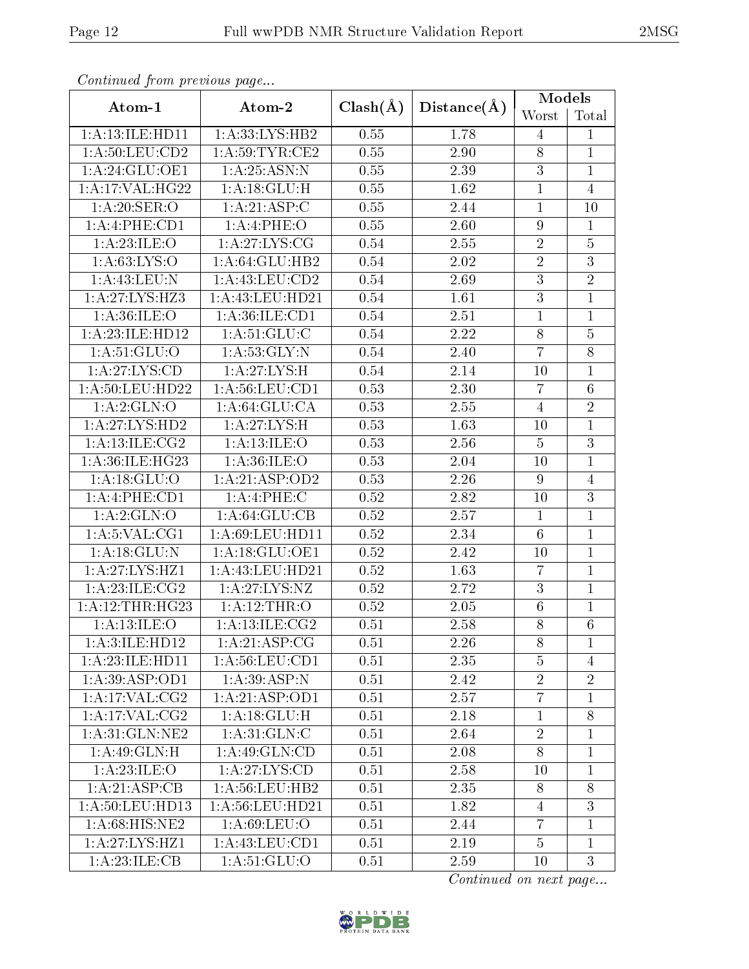| v. |
|----|
|----|

| Continued from previous page                |                     |              |                   | Models          |                 |  |
|---------------------------------------------|---------------------|--------------|-------------------|-----------------|-----------------|--|
| Atom-1                                      | Atom-2              | $Clash(\AA)$ | Distance(A)       | Worst           | Total           |  |
| 1:A:13:ILE:HD11                             | 1:A:33:LYS:HB2      | 0.55         | 1.78              | $\overline{4}$  | $\mathbf{1}$    |  |
| 1: A:50: LEU:CD2                            | 1: A:59:TYR:CE2     | 0.55         | 2.90              | $8\,$           | $\overline{1}$  |  |
| 1:A:24:GLU:OE1                              | 1: A:25: ASN: N     |              | 2.39              | 3               | $\mathbf{1}$    |  |
| 1:A:17:VAL:HG22                             | 1:A:18:GLU:H        | 0.55         | 1.62              | $\mathbf{1}$    | $\overline{4}$  |  |
| 1:A:20:SER:O                                | 1: A:21: ASP:C      | 0.55         | 2.44              | $\mathbf 1$     | 10              |  |
| 1:A:4:PHE:CD1                               | 1: A:4:PHE:O        | 0.55         | $\overline{2.60}$ | $9\phantom{.}$  | $\mathbf{1}$    |  |
| 1:A:23:ILE:O                                | 1:A:27:LYS:CG       | 0.54         | 2.55              | $\sqrt{2}$      | $\overline{5}$  |  |
| $1:A:63:\overline{\text{LYS:O}}$            | 1: A:64: GLU:HB2    | 0.54         | 2.02              | $\overline{2}$  | 3               |  |
| 1: A:43: LEU: N                             | 1: A: 43: LEU: CD2  | 0.54         | 2.69              | $\overline{3}$  | $\overline{2}$  |  |
| 1:A:27:LYS:HZ3                              | $1:$ A:43:LEU:HD21  | 0.54         | 1.61              | $\mathbf{3}$    | $\mathbf{1}$    |  |
| 1: A:36: ILE: O                             | 1: A:36: ILE: CD1   | 0.54         | 2.51              | $\overline{1}$  | $\mathbf{1}$    |  |
| 1:A:23:ILE:HD12                             | 1: A:51: GLU:C      | 0.54         | 2.22              | 8               | $\overline{5}$  |  |
| 1: A:51: GLU:O                              | 1: A:53: GLY:N      | 0.54         | 2.40              | $\overline{7}$  | 8               |  |
| 1:A:27:LYS:CD                               | 1:A:27:LYS:H        | 0.54         | 2.14              | 10              | $\mathbf{1}$    |  |
| 1: A:50:LEU:HD22                            | 1: A:56:LEU:CD1     | 0.53         | 2.30              | $\overline{7}$  | $6\phantom{.}6$ |  |
| 1:A:2:GLN:O                                 | 1: A:64: GLU:CA     | 0.53         | 2.55              | $\overline{4}$  | $\overline{2}$  |  |
| 1:A:27:LYS:HD2<br>$1:A:27:LYS:\overline{H}$ |                     | 0.53         | 1.63              | 10              | $\mathbf{1}$    |  |
| 1: A:13: ILE: CG2                           | 1: A:13: ILE: O     | 0.53         | 2.56              | $\overline{5}$  | $\overline{3}$  |  |
| 1:A:36:ILE:HG23<br>1: A:36: ILE: O          |                     | 0.53         | 2.04              | 10              | $\mathbf{1}$    |  |
| 1: A:18: GLU:O<br>1:A:21:ASP:OD2            |                     | 0.53         | 2.26              | $9\phantom{.0}$ | $\overline{4}$  |  |
| 1:A:4:PHE:CD1<br>1: A:4: PHE: C             |                     | 0.52         | 2.82              | 10              | $\overline{3}$  |  |
| 1: A:2: GLN:O                               | 1: A:64: GLU:CB     | 0.52         | 2.57              | $\mathbf{1}$    | $\mathbf{1}$    |  |
| 1: A:5: VAL:CG1                             | 1:A:69:LEU:HD11     | 0.52         | 2.34              | $6\phantom{.}6$ | $\mathbf{1}$    |  |
| 1: A:18: GLU:N                              | 1:A:18:GLU:OE1      | 0.52         | 2.42              | 10              | $\mathbf{1}$    |  |
| 1:A:27:LYS:HZ1                              | 1: A: 43: LEU: HD21 | 0.52         | 1.63              | $\overline{7}$  | $\mathbf{1}$    |  |
| 1: A:23: ILE: CG2                           | 1:A:27:LYS:NZ       | 0.52         | 2.72              | $\sqrt{3}$      | $\mathbf{1}$    |  |
| 1:A:12:THR:HG23                             | 1:A:12:THR:O        | 0.52         | 2.05              | $\sqrt{6}$      | $\mathbf{1}$    |  |
| 1: A:13: ILE: O                             | 1: A: 13: ILE: CG2  | 0.51         | 2.58              | $\overline{8}$  | $\overline{6}$  |  |
| 1: A:3: ILE: HD12                           | 1: A:21: ASP:CG     | 0.51         | 2.26              | 8               | $\mathbf{1}$    |  |
| 1:A:23:ILE:HD11                             | 1:A:56:LEU:CD1      | 0.51         | 2.35              | $\overline{5}$  | $\overline{4}$  |  |
| 1:A:39:ASP:OD1                              | 1:A:39:ASP:N        | 0.51         | 2.42              | $\overline{2}$  | $\overline{2}$  |  |
| 1:A:17:VAL:CG2                              | 1:A:21:ASP:OD1      | 0.51         | 2.57              | $\overline{7}$  | $\mathbf 1$     |  |
| 1:A:17:VAL:CG2                              | 1: A:18: GLU: H     | 0.51         | 2.18              | $\mathbf{1}$    | 8               |  |
| 1: A:31: GLN:NE2                            | 1: A:31: GLN: C     | 0.51         | 2.64              | $\overline{2}$  | $\mathbf{1}$    |  |
| $1:A:49:\overline{GLN:H}$                   | 1: A:49: GLN:CD     | 0.51         | 2.08              | 8               | $\mathbf{1}$    |  |
| 1:A:23:ILE:O                                | 1: A:27: LYS:CD     | 0.51         | 2.58              | 10              | $\mathbf{1}$    |  |
| 1:A:21:ASP:CB                               | 1: A:56:LEU:HB2     | 0.51         | 2.35              | 8               | 8               |  |
| 1: A:50:LEU:HD13                            | 1: A:56: LEU: HD21  | 0.51         | 1.82              | $\overline{4}$  | $\overline{3}$  |  |
| 1:A:68:HIS:NE2                              | 1: A:69:LEU:O       | 0.51         | 2.44              | $\overline{7}$  | $\mathbf{1}$    |  |
| 1:A:27:LYS:HZ1                              | 1: A: 43: LEU: CD1  | 0.51         | 2.19              | $\overline{5}$  | $\mathbf{1}$    |  |
| 1:A:23:ILE:CB                               | 1: A:51: GLU:O      | 0.51         | 2.59              | 10              | 3               |  |

Continued from previous page.

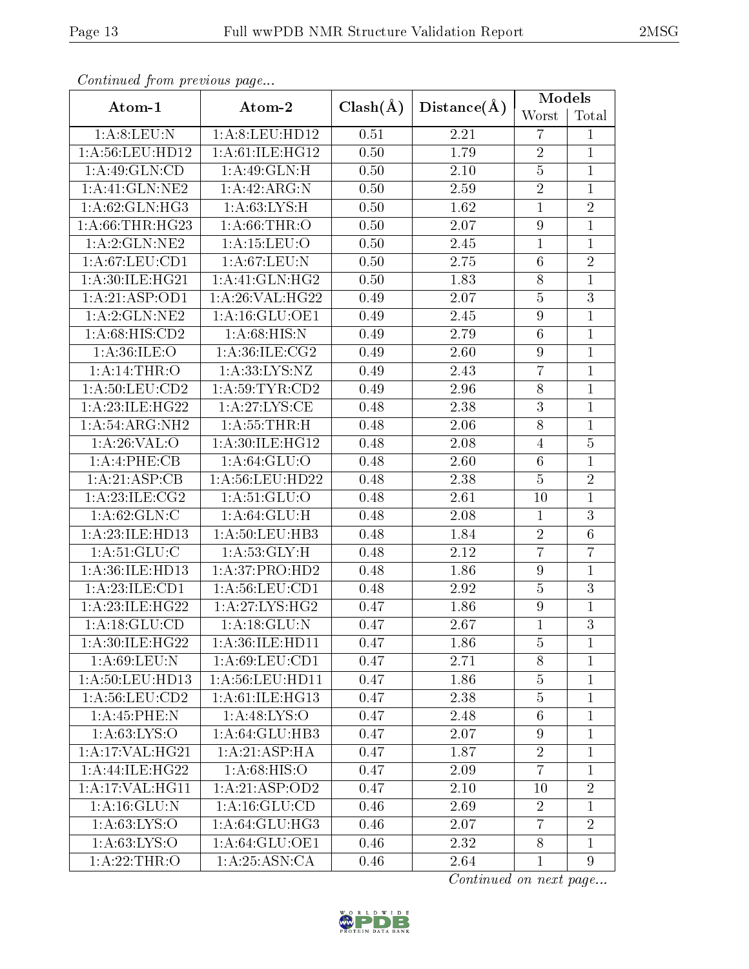| ٠<br>٧L |
|---------|
|---------|

| Continued from previous page        |                    |              |                   | Models           |                |  |
|-------------------------------------|--------------------|--------------|-------------------|------------------|----------------|--|
| Atom-1                              | Atom-2             | $Clash(\AA)$ | Distance(A)       | Worst            | Total          |  |
| 1: A:8: LEU: N                      | 1:A:8:LEU:HD12     | 0.51         | 2.21              | $\overline{7}$   | $\mathbf{1}$   |  |
| 1:A:56:LEU:HD12                     | 1:A:61:ILE:HG12    | 0.50         | 1.79              | $\overline{2}$   | $\mathbf{1}$   |  |
| 1:A:49:GLN:CD                       | 1: A:49: GLN:H     | 0.50         | 2.10              | $\overline{5}$   | $\mathbf{1}$   |  |
| $1:$ A:41:GLN:NE2                   | 1:A:42:ARG:N       | 0.50         | 2.59              | $\overline{2}$   | $\overline{1}$ |  |
| 1: A:62: GLN: HG3                   | 1: A:63:LYS:H      | 0.50         | 1.62              | $\mathbf{1}$     | $\overline{2}$ |  |
| 1: A:66:THR:HG23                    | 1: A:66:THR:O      | 0.50         | 2.07              | $\overline{9}$   | $\mathbf{1}$   |  |
| 1:A:2:GLN:NE2                       | 1: A: 15: LEU: O   | 0.50         | 2.45              | $\mathbf{1}$     | $\mathbf{1}$   |  |
| 1: A:67:LEU:CD1                     | 1:A:67:LEU:N       | 0.50         | 2.75              | $6\phantom{.}6$  | $\overline{2}$ |  |
| 1:A:30:ILE:HG21                     | 1:A:41:GLN:HG2     | 0.50         | $\overline{1.83}$ | $8\,$            | $\mathbf 1$    |  |
| 1:A:21:ASP:OD1                      | 1:A:26:VAL:HG22    | 0.49         | 2.07              | $\bf 5$          | 3              |  |
| 1:A:2:GLN:NE2                       | 1:A:16:GLU:OE1     | 0.49         | 2.45              | $\boldsymbol{9}$ | $\mathbf{1}$   |  |
| 1:A:68:HIS:CD2                      | 1: A:68: HIS:N     | 0.49         | 2.79              | $6\phantom{.}6$  | $\mathbf{1}$   |  |
| 1: A:36: ILE: O                     | 1: A:36: ILE: CG2  | 0.49         | 2.60              | $\boldsymbol{9}$ | $\overline{1}$ |  |
| 1: A:14:THR:O                       | 1: A: 33: LYS: NZ  | 0.49         | 2.43              | $\overline{7}$   | $\mathbf{1}$   |  |
| 1: A:50:LEU:CD2                     | 1: A:59:TYR:CD2    | 0.49         | 2.96              | $8\,$            | $\mathbf 1$    |  |
| 1:A:23:ILE:HG22                     | 1: A:27:LYS:CE     | 0.48         | 2.38              | $\mathbf{3}$     | $\mathbf{1}$   |  |
| 1:A:54:ARG:NH2                      | 1: A:55:THR:H      | 0.48         | 2.06              | 8                | $\mathbf{1}$   |  |
| 1:A:30:ILE:HG12<br>1: A:26:VAL:O    |                    | 0.48         | 2.08              | $\overline{4}$   | $\overline{5}$ |  |
| 1:A:4:PHE:CB<br>1: A:64: GLU:O      |                    | 0.48         | 2.60              | $6\phantom{.}6$  | $\mathbf{1}$   |  |
| 1:A:21:ASP:CB                       | 1: A:56: LEU: HD22 | 0.48         | 2.38              | $\overline{5}$   | $\overline{2}$ |  |
| 1: A:23: ILE: CG2<br>1: A:51: GLU:O |                    | 0.48         | 2.61              | 10               | $\mathbf{1}$   |  |
| 1: A:62: GLN: C                     | 1: A:64: GLU: H    | 0.48         | 2.08              | $\mathbf{1}$     | 3              |  |
| 1:A:23:ILE:HD13                     | 1: A:50: LEU: HB3  | 0.48         | 1.84              | $\overline{2}$   | $\overline{6}$ |  |
| 1: A:51: GLU:C                      | 1: A:53: GLY:H     | 0.48         | 2.12              | $\overline{7}$   | 7              |  |
| 1:A:36:ILE:HD13                     | 1:A:37:PRO:HD2     | 0.48         | 1.86              | $\overline{9}$   | $\mathbf{1}$   |  |
| 1:A:23:ILE:CD1                      | 1: A:56: LEU:CD1   | 0.48         | 2.92              | $\overline{5}$   | 3              |  |
| $1:A:23:ILE:\overline{HG22}$        | 1:A:27:LYS:HG2     | 0.47         | 1.86              | $\boldsymbol{9}$ | $\overline{1}$ |  |
| 1: A:18: GLU:CD                     | 1:A:18:GLU:N       | 0.47         | 2.67              | $\mathbf{1}$     | $\overline{3}$ |  |
| 1:A:30:ILE:HG22                     | 1:A:36:ILE:HD11    | 0.47         | 1.86              | $\overline{5}$   | $\mathbf{1}$   |  |
| 1: A:69: LEU: N                     | 1: A:69:LEU:CD1    | 0.47         | 2.71              | $8\,$            | 1              |  |
| 1: A:50: LEU: HD13                  | 1: A:56: LEU: HD11 | 0.47         | 1.86              | $\bf 5$          | $\mathbf{1}$   |  |
| 1: A:56: LEU:CD2                    | 1: A:61: ILE: HG13 | 0.47         | 2.38              | $\overline{5}$   | $\mathbf{1}$   |  |
| 1:A:45:PHE:N                        | 1: A:48: LYS:O     | 0.47         | 2.48              | $6\phantom{.}6$  | $\mathbf{1}$   |  |
| 1: A:63: LYS:O                      | 1: A:64: GLU:HB3   | 0.47         | 2.07              | $9\phantom{.0}$  | $\mathbf{1}$   |  |
| 1:A:17:VAL:HG21                     | 1: A:21: ASP: HA   | 0.47         | 1.87              | $\overline{2}$   | $\mathbf{1}$   |  |
| 1: A:44: ILE: HG22                  | 1: A:68: HIS:O     | 0.47         | 2.09              | $\overline{7}$   | $\mathbf{1}$   |  |
| 1: A:17: VAL:HGI1                   | 1:A:21:ASP:OD2     | 0.47         | 2.10              | 10               | $\overline{2}$ |  |
| 1: A: 16: GLU: N                    | 1: A: 16: GLU: CD  | 0.46         | 2.69              | $\overline{2}$   | $\mathbf{1}$   |  |
| 1: A:63: LYS:O                      | 1:A:64:GLU:HG3     | 0.46         | 2.07              | $\overline{7}$   | $\overline{2}$ |  |
| 1: A:63: LYS:O                      | 1: A:64: GLU:OE1   | 0.46         | 2.32              | 8                | $\mathbf{1}$   |  |
| 1: A:22:THR:O                       | 1: A:25: ASN:CA    | 0.46         | 2.64              | $\mathbf{1}$     | 9              |  |

 $Confinued$  from previous

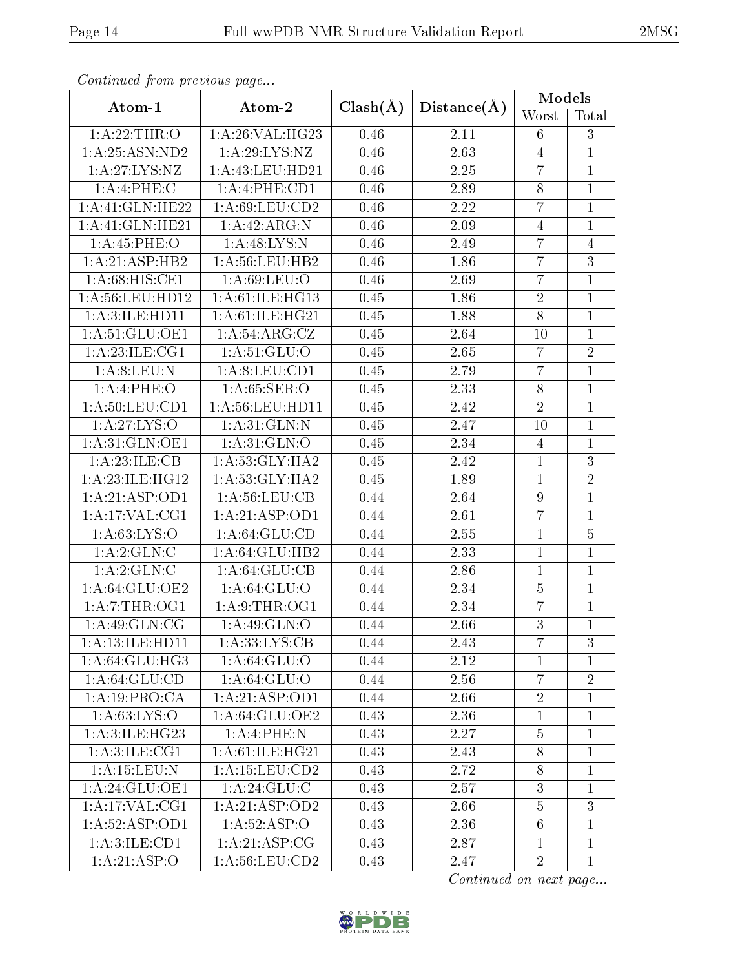| Ή. |  |
|----|--|
|----|--|

| Continued from previous page         |                     |              |             | Models          |                |  |
|--------------------------------------|---------------------|--------------|-------------|-----------------|----------------|--|
| Atom-1                               | Atom-2              | $Clash(\AA)$ | Distance(A) | Worst           | Total          |  |
| 1: A:22:THR:O                        | 1:A:26:VAL:HG23     | 0.46         | 2.11        | 6               | 3              |  |
| 1: A:25: ASN:ND2                     | 1:A:29:LYS:NZ       | 0.46         | 2.63        | $\overline{4}$  | $\mathbf{1}$   |  |
| 1:A:27:LYS:NZ                        | 1: A: 43: LEU: HD21 |              | 2.25        | $\overline{7}$  | $\mathbf{1}$   |  |
| 1: A:4: PHE: C                       | 1:A:4:PHE:CD1       | 0.46         | 2.89        | $8\,$           | $\mathbf{1}$   |  |
| 1:A:41:GLN:HE22                      | 1:A:69:LEU:CD2      | 0.46         | 2.22        | $\overline{7}$  | $\mathbf{1}$   |  |
| 1:A:41:GLN:HE21                      | 1:A:42:ARG:N        | 0.46         | 2.09        | $\overline{4}$  | $\mathbf{1}$   |  |
| 1: A:45:PHE:O                        | 1:A:48:LYS:N        | 0.46         | 2.49        | $\overline{7}$  | 4              |  |
| 1:A:21:ASP:HB2                       | 1: A:56:LEU:HB2     | 0.46         | 1.86        | $\overline{7}$  | 3              |  |
| 1: A:68: HIS: CE1                    | 1: A:69: LEU:O      | 0.46         | 2.69        | $\overline{7}$  | $\mathbf{1}$   |  |
| 1:A:56:LEU:HD12                      | 1: A:61: ILE: HG13  | 0.45         | 1.86        | $\overline{2}$  | $\mathbf{1}$   |  |
| 1: A:3: ILE: HD11                    | 1:A:61:ILE:HG21     | 0.45         | 1.88        | $\overline{8}$  | $\overline{1}$ |  |
| 1:A:51:GLU:OE1                       | 1:A:54:ARG:CZ       | 0.45         | 2.64        | 10              | $\mathbf{1}$   |  |
| 1: A:23: ILE: CG1                    | 1: A:51: GLU:O      | 0.45         | 2.65        | $\overline{7}$  | $\sqrt{2}$     |  |
| 1:A:8:LEU:N                          | 1: A:8:LEU:CD1      | 0.45         | 2.79        | $\overline{7}$  | $\overline{1}$ |  |
| 1:A:4:PHE:O                          | 1: A:65:SER:O       | 0.45         | 2.33        | $8\,$           | $\overline{1}$ |  |
| 1: A:50: LEU:CD1                     | 1: A:56:LEU:HD11    | 0.45         | 2.42        | $\overline{2}$  | $\overline{1}$ |  |
| 1:A:27:LYS:O                         | 1: A:31: GLN:N      | 0.45         | 2.47        | 10              | $\mathbf{1}$   |  |
| 1: A:31: GLN:OE1<br>1: A:31: GLN:O   |                     | 0.45         | 2.34        | $\overline{4}$  | $\mathbf{1}$   |  |
| 1:A:23:ILE:CB<br>1: A:53: GLY: HA2   |                     | 0.45         | 2.42        | $\mathbf{1}$    | $\overline{3}$ |  |
| 1:A:23:ILE:HG12<br>1: A:53: GLY: HA2 |                     | 0.45         | 1.89        | $\mathbf{1}$    | $\overline{2}$ |  |
| 1:A:21:ASP:OD1<br>1: A:56: LEU:CB    |                     | 0.44         | 2.64        | 9               | $\mathbf{1}$   |  |
| 1:A:17:VAL:CG1                       | 1:A:21:ASP:OD1      | 0.44         | 2.61        | $\overline{7}$  | $\mathbf{1}$   |  |
| 1: A:63:LYS:O                        | 1: A:64:GLU:CD      | 0.44         | 2.55        | $\mathbf{1}$    | $\overline{5}$ |  |
| 1:A:2:GLN:C<br>1:A:64:GLU:HB2        |                     | 0.44         | 2.33        | $\mathbf{1}$    | $\mathbf{1}$   |  |
| 1:A:2:GLN:C                          | 1:A:64:GLU:CB       | 0.44         | 2.86        | $\mathbf{1}$    | $\mathbf{1}$   |  |
| 1:A:64:GLU:OE2                       | 1: A:64: GLU:O      | 0.44         | 2.34        | $\overline{5}$  | $\mathbf{1}$   |  |
| 1:A:7:THR:OG1                        | 1: A:9:THR:OG1      | 0.44         | 2.34        | $\overline{7}$  | $\mathbf{1}$   |  |
| $1:A:\overline{49:GLN:CG}$           | $1:$ A:49:GLN:O     | 0.44         | 2.66        | $\mathbf{3}$    | $\mathbf 1$    |  |
| 1:A:13:ILE:HD11                      | 1: A:33: LYS: CB    | 0.44         | 2.43        | $\overline{7}$  | 3              |  |
| 1: A:64: GLU:HG3                     | 1: A:64: GLU:O      | 0.44         | 2.12        | $\mathbf{1}$    | $\mathbf{1}$   |  |
| 1: A:64:GLU:CD                       | 1: A:64: GLU:O      | 0.44         | 2.56        | $\overline{7}$  | $\overline{2}$ |  |
| 1:A:19:PRO:CA                        | 1:A:21:ASP:OD1      | 0.44         | 2.66        | $\overline{2}$  | 1              |  |
| 1: A:63: LYS:O                       | 1: A:64: GLU:OE2    | 0.43         | 2.36        | $\mathbf{1}$    | $\mathbf{1}$   |  |
| 1: A:3: ILE: HG23                    | 1:A:4:PHE:N         | 0.43         | 2.27        | $\overline{5}$  | $\mathbf{1}$   |  |
| 1: A:3: ILE: CG1                     | 1:A:61:ILE:HG21     | 0.43         | 2.43        | $8\,$           | $\mathbf{1}$   |  |
| 1: A:15:LEU: N                       | 1: A: 15: LEU: CD2  | 0.43         | 2.72        | $8\,$           | $\mathbf 1$    |  |
| 1:A:24:GLU:OE1                       | 1:A:24:GLU:C        | 0.43         | 2.57        | $\mathbf{3}$    | $\mathbf{1}$   |  |
| 1:A:17:VAL:CG1                       | 1:A:21:ASP:OD2      | 0.43         | 2.66        | $\bf 5$         | $\overline{3}$ |  |
| 1:A:52:ASP:OD1                       | 1: A:52: ASP:O      | 0.43         | 2.36        | $6\phantom{.}6$ | $\mathbf{1}$   |  |
| 1: A:3: ILE: CD1                     | 1: A:21: ASP:CG     | 0.43         | 2.87        | $\mathbf{1}$    | $\mathbf{1}$   |  |
| 1:A:21:ASP:O                         | 1:A:56:LEU:CD2      | 0.43         | 2.47        | $\overline{2}$  | $\mathbf{1}$   |  |

Continued from previous page...

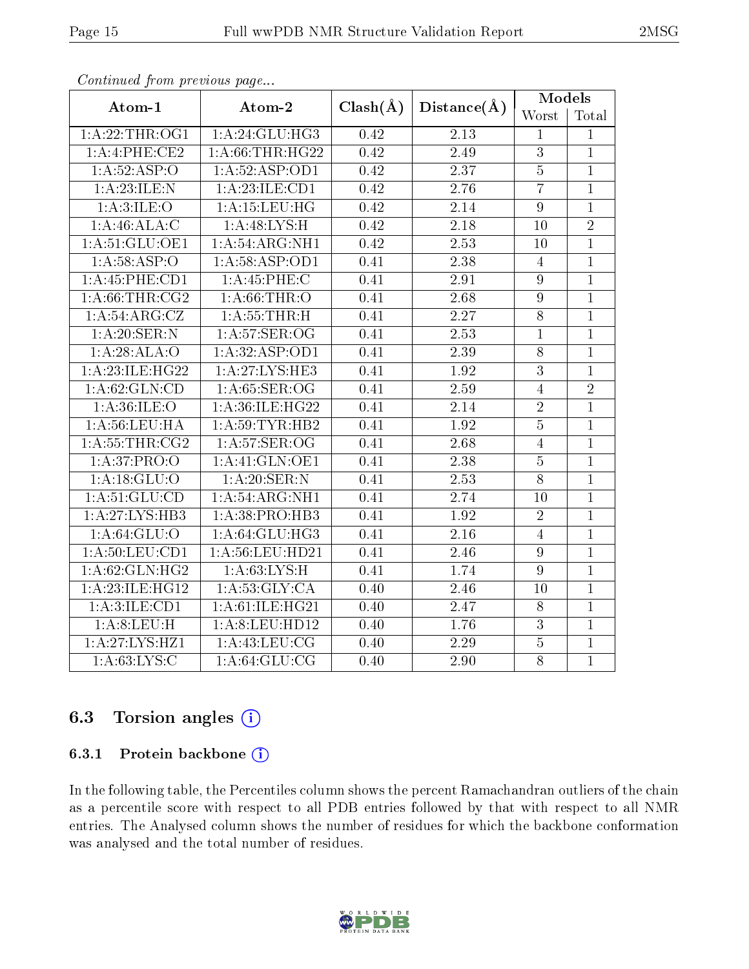| Atom-1                            | Atom-2            | $Clash(\AA)$ | Distance(A)       | <b>Models</b>    |                |  |
|-----------------------------------|-------------------|--------------|-------------------|------------------|----------------|--|
|                                   |                   |              |                   | Worst            | Total          |  |
| 1: A:22:THR:OG1                   | 1: A:24:GLU:HG3   | 0.42         | 2.13              | $\mathbf{1}$     | $\mathbf{1}$   |  |
| 1:A:4:PHE:CE2<br>1: A:66:THR:HG22 |                   | 0.42         | 2.49              | $\overline{3}$   | $\mathbf{1}$   |  |
| 1: A:52:ASP:O                     | 1:A:52:ASP:OD1    | 0.42         | 2.37              | $\overline{5}$   | $\mathbf{1}$   |  |
| 1:A:23:ILE:N                      | 1: A:23: ILE: CD1 | 0.42         | 2.76              | $\overline{7}$   | $\overline{1}$ |  |
| 1: A:3: ILE: O                    | 1: A:15:LEU:HG    | 0.42         | 2.14              | $\boldsymbol{9}$ | $\mathbf{1}$   |  |
| 1: A:46: ALA: C                   | 1:A:48:LYS:H      | 0.42         | $\overline{2.18}$ | 10               | $\overline{2}$ |  |
| 1: A:51: GLU:OE1                  | 1: A:54: ARG: NH1 | 0.42         | 2.53              | 10               | $\mathbf{1}$   |  |
| 1: A:58: ASP:O                    | 1:A:58:ASP:OD1    | 0.41         | 2.38              | $\overline{4}$   | $\mathbf{1}$   |  |
| 1:A:45:PHE:CD1                    | 1: A:45:PHE:C     | 0.41         | 2.91              | 9                | $\mathbf{1}$   |  |
| 1: A:66:THR:CG2                   | 1: A:66:THR:O     | 0.41         | 2.68              | $\boldsymbol{9}$ | $\overline{1}$ |  |
| 1:A:54:ARG:CZ                     | 1: A:55:THR:H     | 0.41         | 2.27              | $\overline{8}$   | $\overline{1}$ |  |
| 1: A:20: SER: N                   | 1: A:57: SER:OG   | 0.41         | 2.53              | 1                | $\mathbf{1}$   |  |
| 1:A:28:ALA:O                      | 1:A:32:ASP:OD1    | 0.41         | $\overline{2.39}$ | 8                | $\mathbf{1}$   |  |
| 1: A:23: ILE: HG22                | 1:A:27:LYS:HE3    | 0.41         | 1.92              | $\overline{3}$   | $\overline{1}$ |  |
| 1: A:62: GLN:CD                   | 1: A:65:SER:OG    | 0.41         | 2.59              | $\overline{4}$   | $\sqrt{2}$     |  |
| 1: A:36: ILE: O                   | 1: A:36: ILE:HG22 | 0.41         | 2.14              | $\overline{2}$   | $\overline{1}$ |  |
| 1: A: 56: LEU: HA                 | 1: A:59:TYR:HB2   | 0.41         | 1.92              | $\overline{5}$   | $\mathbf{1}$   |  |
| 1: A:55:THR:CG2                   | 1: A:57: SER:OG   | 0.41         | 2.68              | $\overline{4}$   | $\overline{1}$ |  |
| 1:A:37:PRO:O                      | 1:A:41:GLN:OE1    | 0.41         | 2.38              | $\overline{5}$   | $\mathbf{1}$   |  |
| 1:A:18:GLU:O                      | 1: A:20: SER: N   | 0.41         | 2.53              | $\overline{8}$   | $\mathbf{1}$   |  |
| 1: A:51: GLU:CD                   | 1:A:54:ARG:NH1    | 0.41         | 2.74              | 10               | $\mathbf{1}$   |  |
| 1: A:27: LYS:HB3                  | 1:A:38:PRO:HB3    | 0.41         | 1.92              | $\overline{2}$   | $\mathbf{1}$   |  |
| 1: A:64:GLU:O                     | 1: A:64: GLU:HG3  | 0.41         | 2.16              | $\overline{4}$   | $\mathbf{1}$   |  |
| 1: A:50: LEU:CD1                  | 1: A:56:LEU:HD21  | 0.41         | 2.46              | 9                | $\mathbf{1}$   |  |
| 1: A:62: GLN: HG2                 | 1: A:63: LYS:H    | 0.41         | 1.74              | 9                | $\mathbf{1}$   |  |
| 1: A:23: ILE: HG12                | 1: A:53: GLY:CA   | 0.40         | 2.46              | 10               | $\mathbf{1}$   |  |
| 1:A:3:ILE:CD1                     | 1:A:61:ILE:HG21   | 0.40         | 2.47              | $8\,$            | $\mathbf{1}$   |  |
| 1:A:8:LEU:H                       | 1:A:8:LEU:HD12    | 0.40         | 1.76              | $\overline{3}$   | $\mathbf{1}$   |  |
| 1:A:27:LYS:HZ1                    | 1: A: 43: LEU: CG | 0.40         | 2.29              | $\overline{5}$   | $\overline{1}$ |  |
| 1: A:63: LYS: C                   | 1: A:64: GLU:CG   | 0.40         | 2.90              | 8                | $\mathbf{1}$   |  |

Continued from previous page...

# 6.3 Torsion angles (i)

### 6.3.1 Protein backbone  $(i)$

In the following table, the Percentiles column shows the percent Ramachandran outliers of the chain as a percentile score with respect to all PDB entries followed by that with respect to all NMR entries. The Analysed column shows the number of residues for which the backbone conformation was analysed and the total number of residues.

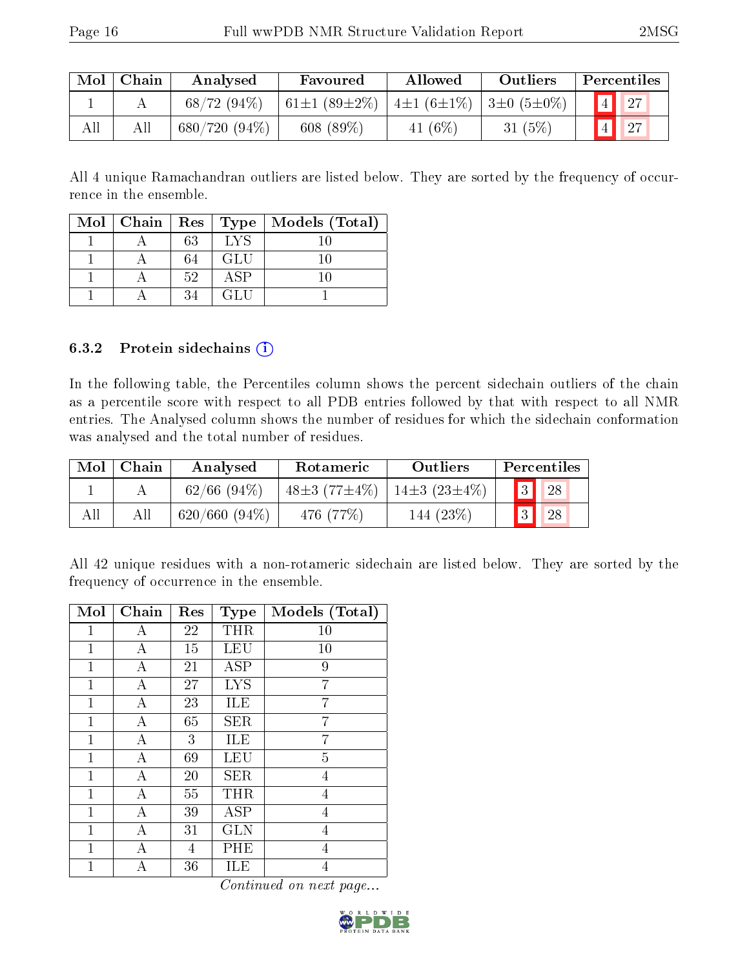|     | $Mol$   Chain | Analysed        | Favoured            | Allowed                          | Outliers | Percentiles    |  |
|-----|---------------|-----------------|---------------------|----------------------------------|----------|----------------|--|
|     |               | 68/72(94%)      | $+61\pm1(89\pm2\%)$ | $ 4\pm1(6\pm1\%) 3\pm0(5\pm0\%)$ |          |                |  |
| All |               | $680/720(94\%)$ | 608(89%)            | 41 $(6\%)$                       | 31(5%)   | 4 <sup>1</sup> |  |

All 4 unique Ramachandran outliers are listed below. They are sorted by the frequency of occurrence in the ensemble.

|  |    |     | Mol   Chain   Res   Type   Models (Total) |
|--|----|-----|-------------------------------------------|
|  | 63 | LYS |                                           |
|  | 64 | GLU |                                           |
|  | 52 | ΑSΡ |                                           |
|  | 34 | GLU |                                           |

#### 6.3.2 Protein sidechains (i)

In the following table, the Percentiles column shows the percent sidechain outliers of the chain as a percentile score with respect to all PDB entries followed by that with respect to all NMR entries. The Analysed column shows the number of residues for which the sidechain conformation was analysed and the total number of residues.

| Mol | Chain | Analysed         | Rotameric                     | Outliers           | Percentiles    |    |
|-----|-------|------------------|-------------------------------|--------------------|----------------|----|
|     |       | $62/66$ $(94\%)$ | 48 $\pm$ 3 (77 $\pm$ 4 $\%$ ) | $14\pm3(23\pm4\%)$ | 3              | 28 |
| All |       | $620/660 (94\%)$ | 476 (77%)                     | 144 (23\%)         | 3 <sup>1</sup> | 28 |

All 42 unique residues with a non-rotameric sidechain are listed below. They are sorted by the frequency of occurrence in the ensemble.

| Mol          | Chain | Res | <b>Type</b> | Models (Total) |
|--------------|-------|-----|-------------|----------------|
| 1            | А     | 22  | THR         | 10             |
| $\mathbf{1}$ | А     | 15  | <b>LEU</b>  | 10             |
| 1            | А     | 21  | <b>ASP</b>  | 9              |
| $\mathbf{1}$ | А     | 27  | <b>LYS</b>  | 7              |
| 1            | А     | 23  | ILE         | 7              |
| $\mathbf{1}$ | А     | 65  | <b>SER</b>  | 7              |
| 1            | А     | 3   | ILE         | 7              |
| $\mathbf{1}$ | А     | 69  | LEU         | 5              |
| 1            | А     | 20  | <b>SER</b>  | $\overline{4}$ |
| $\mathbf{1}$ | А     | 55  | THR         | $\overline{4}$ |
| 1            | А     | 39  | ASP         | 4              |
| 1            | Α     | 31  | <b>GLN</b>  | 4              |
| $\mathbf 1$  | А     | 4   | PHE         | $\overline{4}$ |
| 1            |       | 36  | ILE         | $\overline{4}$ |

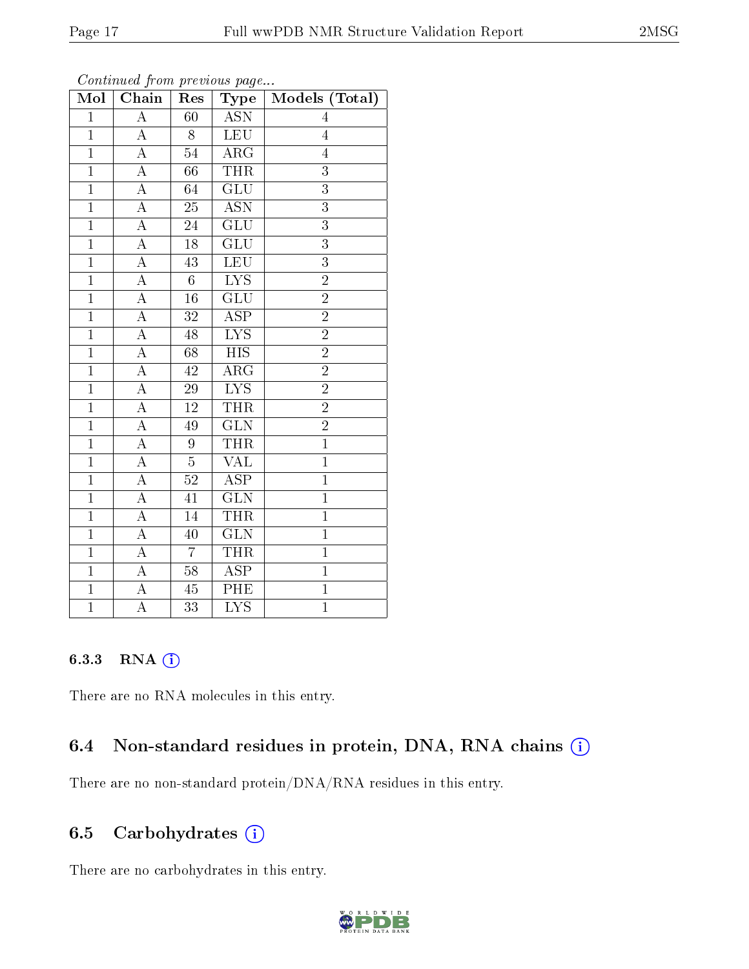| Mol            | Chain              | Res             | Type                    | Models (Total) |
|----------------|--------------------|-----------------|-------------------------|----------------|
| $\overline{1}$ | $\overline{\rm A}$ | 60              | <b>ASN</b>              | 4              |
| $\overline{1}$ | $\boldsymbol{A}$   | 8               | LEU                     | $\overline{4}$ |
| $\overline{1}$ | $\overline{\rm A}$ | $\overline{54}$ | $\overline{\rm{ARG}}$   | $\overline{4}$ |
| $\mathbf{1}$   | A                  | 66              | <b>THR</b>              | 3              |
| $\overline{1}$ | $\overline{A}$     | $\overline{64}$ | $\overline{\text{GLU}}$ | $\overline{3}$ |
| $\overline{1}$ | A                  | $\overline{25}$ | $\overline{\text{ASN}}$ | $\overline{3}$ |
| $\overline{1}$ | $\overline{\rm A}$ | 24              | $\widetilde{GLU}$       | $\overline{3}$ |
| $\overline{1}$ | $\overline{\rm A}$ | $\overline{18}$ | $\overline{\text{GLU}}$ | $\overline{3}$ |
| $\overline{1}$ | $\overline{\rm A}$ | 43              | <b>LEU</b>              | 3              |
| $\overline{1}$ | $\overline{A}$     | $\overline{6}$  | $\overline{\text{LYS}}$ | $\overline{2}$ |
| $\overline{1}$ | $\boldsymbol{A}$   | $16\,$          | $\overline{\text{GLU}}$ | $\overline{2}$ |
| $\overline{1}$ | $\overline{\rm A}$ | $3\sqrt{2}$     | $\overline{\rm ASP}$    | $\overline{2}$ |
| $\overline{1}$ | A                  | 48              | $\overline{\text{LYS}}$ | $\overline{2}$ |
| $\overline{1}$ | $\overline{\rm A}$ | 68              | $\overline{HIS}$        | $\overline{2}$ |
| $\overline{1}$ | $\overline{\rm A}$ | 42              | $\overline{\rm{ARG}}$   | $\overline{2}$ |
| $\overline{1}$ | $\overline{\rm A}$ | $\sqrt{29}$     | <b>LYS</b>              | $\overline{2}$ |
| $\overline{1}$ | $\overline{\rm A}$ | $\overline{12}$ | <b>THR</b>              | $\overline{2}$ |
| $\overline{1}$ | $\boldsymbol{A}$   | 49              | $\overline{\text{GLN}}$ | $\overline{2}$ |
| $\mathbf{1}$   | $\boldsymbol{A}$   | 9               | <b>THR</b>              | $\mathbf{1}$   |
| $\overline{1}$ | A                  | $\overline{5}$  | $\overline{\text{VAL}}$ | $\overline{1}$ |
| $\overline{1}$ | $\overline{\rm A}$ | $52\,$          | $A\overline{SP}$        | $\overline{1}$ |
| $\overline{1}$ | $\overline{A}$     | 41              | $\overline{\text{GLN}}$ | $\overline{1}$ |
| $\mathbf{1}$   | $\overline{\rm A}$ | 14              | <b>THR</b>              | $\mathbf{1}$   |
| $\overline{1}$ | $\overline{\rm A}$ | $\overline{40}$ | $\overline{\text{GLN}}$ | $\overline{1}$ |
| $\overline{1}$ | $\overline{\rm A}$ | $\overline{7}$  | <b>THR</b>              | $\mathbf{1}$   |
| $\overline{1}$ | $\overline{\rm A}$ | $\overline{58}$ | $\overline{\text{ASP}}$ | $\mathbf{1}$   |
| $\mathbf{1}$   | A                  | 45              | $\overline{\rm{PHE}}$   | $\mathbf{1}$   |
| $\overline{1}$ | $\overline{\rm A}$ | 33              | $\overline{\text{LYS}}$ | $\overline{1}$ |

Continued from previous page...

### 6.3.3 RNA [O](https://www.wwpdb.org/validation/2017/NMRValidationReportHelp#rna)i

There are no RNA molecules in this entry.

## 6.4 Non-standard residues in protein, DNA, RNA chains  $(i)$

There are no non-standard protein/DNA/RNA residues in this entry.

### 6.5 Carbohydrates  $(i)$

There are no carbohydrates in this entry.

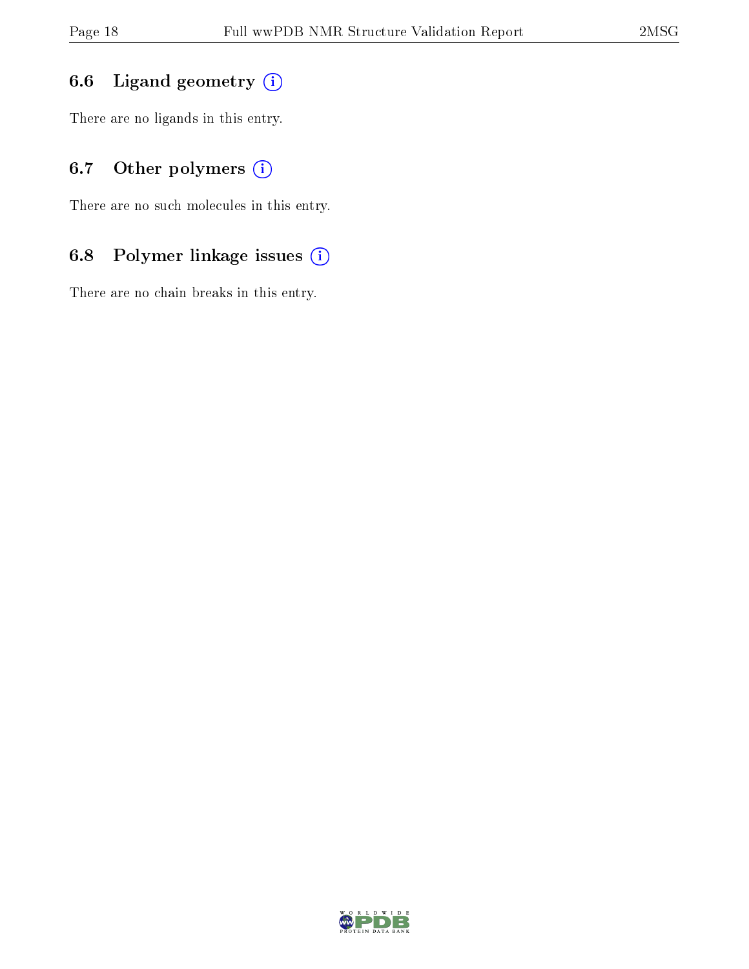# 6.6 Ligand geometry  $(i)$

There are no ligands in this entry.

# 6.7 [O](https://www.wwpdb.org/validation/2017/NMRValidationReportHelp#nonstandard_residues_and_ligands)ther polymers (i)

There are no such molecules in this entry.

# 6.8 Polymer linkage issues (i)

There are no chain breaks in this entry.

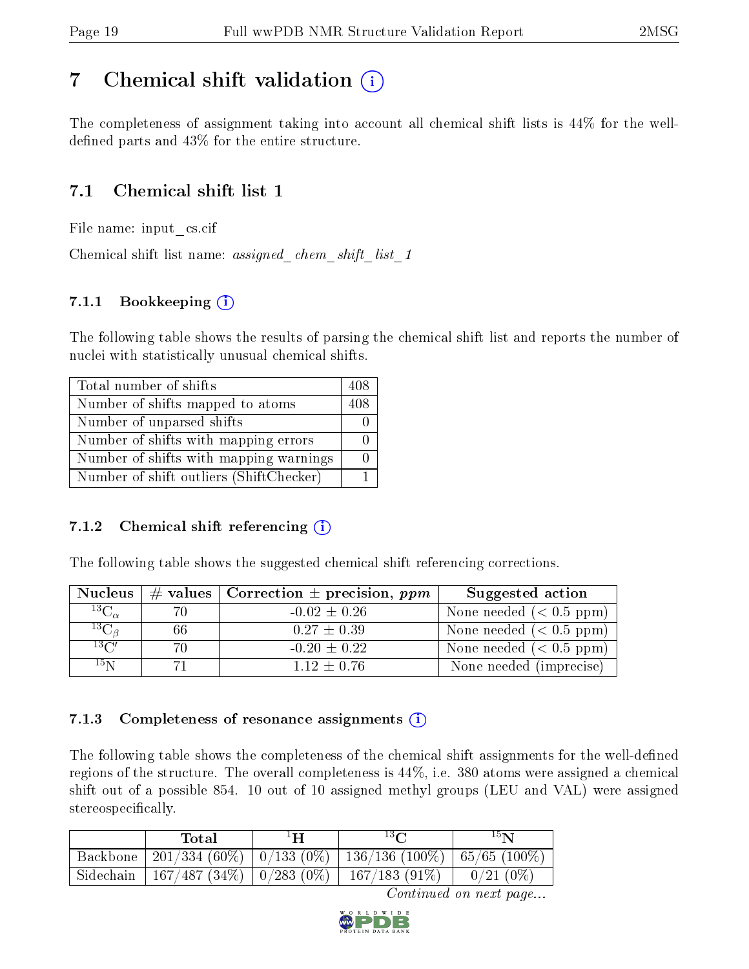# <span id="page-18-0"></span>7 Chemical shift validation  $\left( \begin{array}{c} \overline{1} \end{array} \right)$

The completeness of assignment taking into account all chemical shift lists is 44% for the welldefined parts and  $43\%$  for the entire structure.

# 7.1 Chemical shift list 1

File name: input\_cs.cif

Chemical shift list name: assigned chem shift list 1

## 7.1.1 Bookkeeping (i)

The following table shows the results of parsing the chemical shift list and reports the number of nuclei with statistically unusual chemical shifts.

| Total number of shifts                  | 408 |
|-----------------------------------------|-----|
| Number of shifts mapped to atoms        | 408 |
| Number of unparsed shifts               |     |
| Number of shifts with mapping errors    |     |
| Number of shifts with mapping warnings  |     |
| Number of shift outliers (ShiftChecker) |     |

### 7.1.2 Chemical shift referencing  $(i)$

The following table shows the suggested chemical shift referencing corrections.

| <b>Nucleus</b>     |     | # values   Correction $\pm$ precision, ppm | Suggested action          |
|--------------------|-----|--------------------------------------------|---------------------------|
| $^{13}C_{\alpha}$  | 7Λ  | $-0.02 \pm 0.26$                           | None needed $(0.5 ppm)$   |
| ${}^{13}C_{\beta}$ | 66  | $0.27 \pm 0.39$                            | None needed $(0.5 ppm)$   |
| $13\text{C}$       | 70. | $-0.20 \pm 0.22$                           | None needed $(< 0.5$ ppm) |
| 15 <sub>N</sub>    |     | $1.12 \pm 0.76$                            | None needed (imprecise)   |

### 7.1.3 Completeness of resonance assignments  $(i)$

The following table shows the completeness of the chemical shift assignments for the well-defined regions of the structure. The overall completeness is 44%, i.e. 380 atoms were assigned a chemical shift out of a possible 854. 10 out of 10 assigned methyl groups (LEU and VAL) were assigned stereospecifically.

| Total                                                  | $1\mathbf{H}$ | $13\Omega$                                                            | 15 <sub>N</sub> |
|--------------------------------------------------------|---------------|-----------------------------------------------------------------------|-----------------|
|                                                        |               | Backbone   201/334 (60%)   0/133 (0%)   136/136 (100%)   65/65 (100%) |                 |
| Sidechain   167/487 (34%)   0/283 (0%)   167/183 (91%) |               |                                                                       | $0/21(0\%)$     |

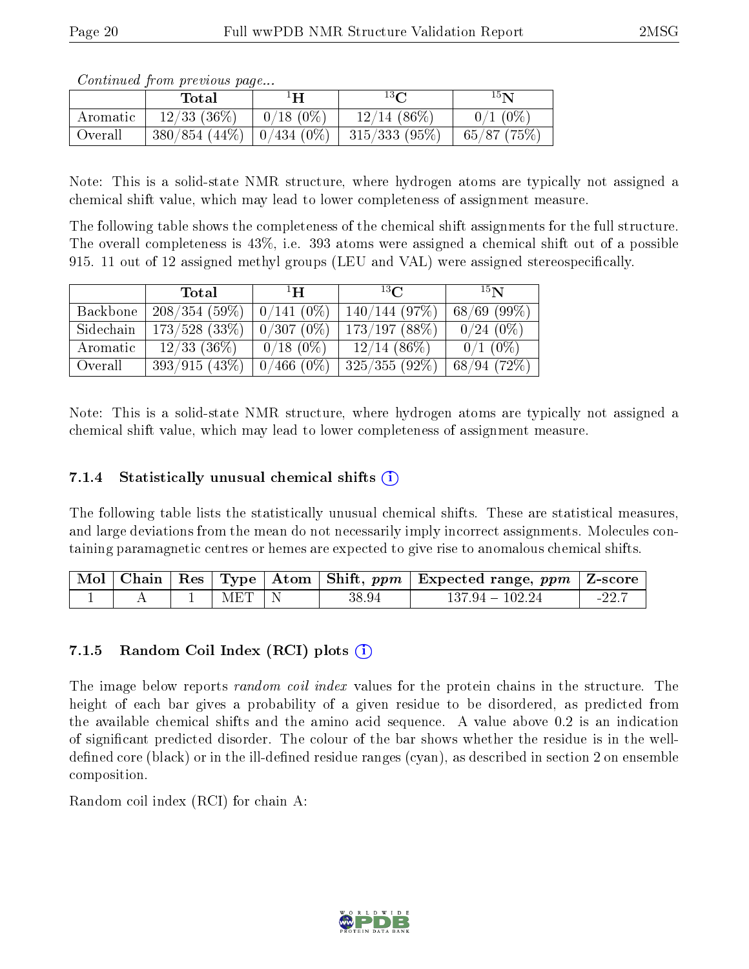| <i>Continued from previous page</i> |  |  |
|-------------------------------------|--|--|

|          | Total           | ŦН                | $13\Omega$     | $15\mathbf{N}$ |
|----------|-----------------|-------------------|----------------|----------------|
| Aromatic | $12/33$ (36\%)  | $0/18(0\%)$       | $12/14$ (86\%) | $0/1$ (0%)     |
| Overall  | $380/854(44\%)$ | $\mid 0/434$ (0%) | 315/333(95%)   | 65/87(75%)     |

Note: This is a solid-state NMR structure, where hydrogen atoms are typically not assigned a chemical shift value, which may lead to lower completeness of assignment measure.

The following table shows the completeness of the chemical shift assignments for the full structure. The overall completeness is 43%, i.e. 393 atoms were assigned a chemical shift out of a possible 915. 11 out of 12 assigned methyl groups (LEU and VAL) were assigned stereospecifically.

|           | Total            | $\mathbf{H}^1$ | 13 <sub>C</sub> | 15 <sub>N</sub> |
|-----------|------------------|----------------|-----------------|-----------------|
| Backbone  | 208/354(59%)     | $0/141(0\%)$   | 140/144(97%)    | $68/69$ (99\%)  |
| Sidechain | $173/528$ (33\%) | $0/307(0\%)$   | 173/197(88%)    | $0/24(0\%)$     |
| Aromatic  | $12/33$ (36\%)   | $0/18(0\%)$    | $12/14(86\%)$   | $0/1$ (0%)      |
| Overall   | 393/915(43%)     | $0/466(0\%)$   | $325/355(92\%)$ | 68/94(72%)      |

Note: This is a solid-state NMR structure, where hydrogen atoms are typically not assigned a chemical shift value, which may lead to lower completeness of assignment measure.

### 7.1.4 Statistically unusual chemical shifts  $(i)$

The following table lists the statistically unusual chemical shifts. These are statistical measures, and large deviations from the mean do not necessarily imply incorrect assignments. Molecules containing paramagnetic centres or hemes are expected to give rise to anomalous chemical shifts.

|  |           |       | $\boxed{\text{ Mol }   \text{ Chain }   \text{ Res }   \text{ Type }   \text{ Atom }   \text{ Shift, } ppm   \text{ Expected range, } ppm   \text{ Z-score } }$ |         |
|--|-----------|-------|-----------------------------------------------------------------------------------------------------------------------------------------------------------------|---------|
|  | $MET$   N | 38.94 | $137.94 - 102.24$                                                                                                                                               | $-22.7$ |

### 7.1.5 Random Coil Index  $(RCI)$  plots  $(i)$

The image below reports *random coil index* values for the protein chains in the structure. The height of each bar gives a probability of a given residue to be disordered, as predicted from the available chemical shifts and the amino acid sequence. A value above 0.2 is an indication of signicant predicted disorder. The colour of the bar shows whether the residue is in the welldefined core (black) or in the ill-defined residue ranges (cyan), as described in section 2 on ensemble composition.

Random coil index (RCI) for chain A: